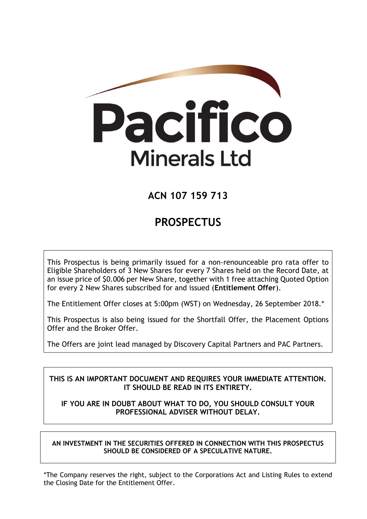

# **ACN 107 159 713**

# **PROSPECTUS**

This Prospectus is being primarily issued for a non-renounceable pro rata offer to Eligible Shareholders of 3 New Shares for every 7 Shares held on the Record Date, at an issue price of \$0.006 per New Share, together with 1 free attaching Quoted Option for every 2 New Shares subscribed for and issued (**Entitlement Offer**).

The Entitlement Offer closes at 5:00pm (WST) on Wednesday, 26 September 2018.\*

This Prospectus is also being issued for the Shortfall Offer, the Placement Options Offer and the Broker Offer.

The Offers are joint lead managed by Discovery Capital Partners and PAC Partners.

# **THIS IS AN IMPORTANT DOCUMENT AND REQUIRES YOUR IMMEDIATE ATTENTION. IT SHOULD BE READ IN ITS ENTIRETY.**

# **IF YOU ARE IN DOUBT ABOUT WHAT TO DO, YOU SHOULD CONSULT YOUR PROFESSIONAL ADVISER WITHOUT DELAY.**

**AN INVESTMENT IN THE SECURITIES OFFERED IN CONNECTION WITH THIS PROSPECTUS SHOULD BE CONSIDERED OF A SPECULATIVE NATURE.**

\*The Company reserves the right, subject to the Corporations Act and Listing Rules to extend the Closing Date for the Entitlement Offer.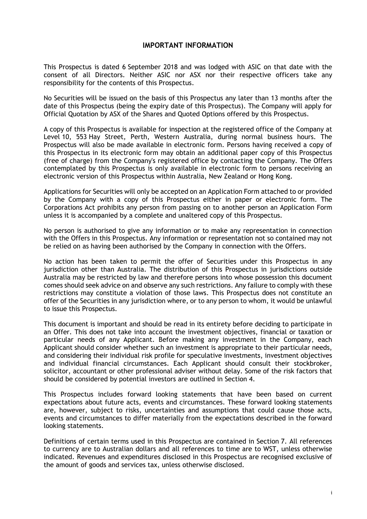## **IMPORTANT INFORMATION**

This Prospectus is dated 6 September 2018 and was lodged with ASIC on that date with the consent of all Directors. Neither ASIC nor ASX nor their respective officers take any responsibility for the contents of this Prospectus.

No Securities will be issued on the basis of this Prospectus any later than 13 months after the date of this Prospectus (being the expiry date of this Prospectus). The Company will apply for Official Quotation by ASX of the Shares and Quoted Options offered by this Prospectus.

A copy of this Prospectus is available for inspection at the registered office of the Company at Level 10, 553 Hay Street, Perth, Western Australia, during normal business hours. The Prospectus will also be made available in electronic form. Persons having received a copy of this Prospectus in its electronic form may obtain an additional paper copy of this Prospectus (free of charge) from the Company's registered office by contacting the Company. The Offers contemplated by this Prospectus is only available in electronic form to persons receiving an electronic version of this Prospectus within Australia, New Zealand or Hong Kong.

Applications for Securities will only be accepted on an Application Form attached to or provided by the Company with a copy of this Prospectus either in paper or electronic form. The Corporations Act prohibits any person from passing on to another person an Application Form unless it is accompanied by a complete and unaltered copy of this Prospectus.

No person is authorised to give any information or to make any representation in connection with the Offers in this Prospectus. Any information or representation not so contained may not be relied on as having been authorised by the Company in connection with the Offers.

No action has been taken to permit the offer of Securities under this Prospectus in any jurisdiction other than Australia. The distribution of this Prospectus in jurisdictions outside Australia may be restricted by law and therefore persons into whose possession this document comes should seek advice on and observe any such restrictions. Any failure to comply with these restrictions may constitute a violation of those laws. This Prospectus does not constitute an offer of the Securities in any jurisdiction where, or to any person to whom, it would be unlawful to issue this Prospectus.

This document is important and should be read in its entirety before deciding to participate in an Offer. This does not take into account the investment objectives, financial or taxation or particular needs of any Applicant. Before making any investment in the Company, each Applicant should consider whether such an investment is appropriate to their particular needs, and considering their individual risk profile for speculative investments, investment objectives and individual financial circumstances. Each Applicant should consult their stockbroker, solicitor, accountant or other professional adviser without delay. Some of the risk factors that should be considered by potential investors are outlined in Section 4.

This Prospectus includes forward looking statements that have been based on current expectations about future acts, events and circumstances. These forward looking statements are, however, subject to risks, uncertainties and assumptions that could cause those acts, events and circumstances to differ materially from the expectations described in the forward looking statements.

Definitions of certain terms used in this Prospectus are contained in Section 7. All references to currency are to Australian dollars and all references to time are to WST, unless otherwise indicated. Revenues and expenditures disclosed in this Prospectus are recognised exclusive of the amount of goods and services tax, unless otherwise disclosed.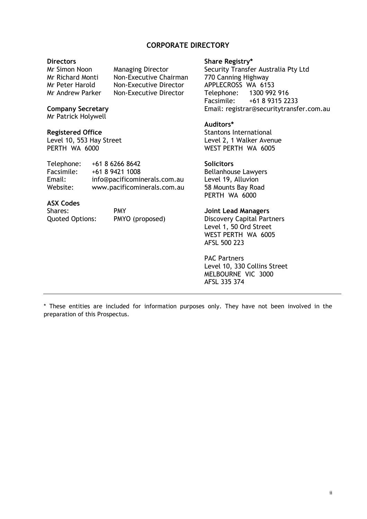# **CORPORATE DIRECTORY**

### **Directors**

Mr Simon Noon Managing Director Mr Richard Monti Non-Executive Chairman Mr Peter Harold Non-Executive Director<br>Mr Andrew Parker Non-Executive Director Non-Executive Director

### **Company Secretary**

Mr Patrick Holywell

### **Registered Office**

Level 10, 553 Hay Street PERTH WA 6000

| Telephone: | $+61862668642$               |
|------------|------------------------------|
| Facsimile: | +61 8 9421 1008              |
| Email:     | info@pacificominerals.com.au |
| Website:   | www.pacificominerals.com.au  |

## **ASX Codes**

| Shares:                | <b>PMY</b>      |
|------------------------|-----------------|
| <b>Quoted Options:</b> | PMYO (proposed) |

### **Share Registry\***

Security Transfer Australia Pty Ltd 770 Canning Highway APPLECROSS WA 6153<br>Telephone: 1300 992 1300 992 916 Facsimile: +61 8 9315 2233 Email: registrar@securitytransfer.com.au

### **Auditors\***

Stantons International Level 2, 1 Walker Avenue WEST PERTH WA 6005

### **Solicitors**

Bellanhouse Lawyers Level 19, Alluvion 58 Mounts Bay Road PERTH WA 6000

### **Joint Lead Managers**

Discovery Capital Partners Level 1, 50 Ord Street WEST PERTH WA 6005 AFSL 500 223

PAC Partners Level 10, 330 Collins Street MELBOURNE VIC 3000 AFSL 335 374

\* These entities are included for information purposes only. They have not been involved in the preparation of this Prospectus.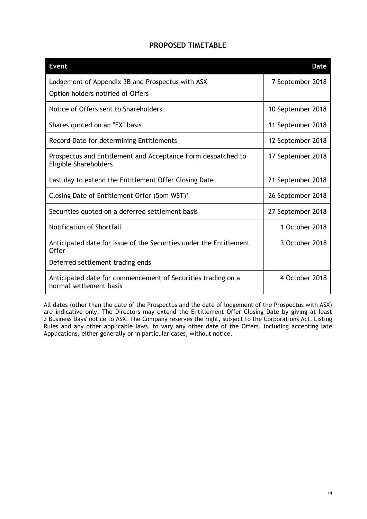| <b>Event</b>                                                                                 | <b>Date</b>       |
|----------------------------------------------------------------------------------------------|-------------------|
| Lodgement of Appendix 3B and Prospectus with ASX                                             | 7 September 2018  |
| Option holders notified of Offers                                                            |                   |
| Notice of Offers sent to Shareholders                                                        | 10 September 2018 |
| Shares quoted on an "EX" basis                                                               | 11 September 2018 |
| Record Date for determining Entitlements                                                     | 12 September 2018 |
| Prospectus and Entitlement and Acceptance Form despatched to<br><b>Eligible Shareholders</b> | 17 September 2018 |
| Last day to extend the Entitlement Offer Closing Date                                        | 21 September 2018 |
| Closing Date of Entitlement Offer (5pm WST)*                                                 | 26 September 2018 |
| Securities quoted on a deferred settlement basis                                             | 27 September 2018 |
| Notification of Shortfall                                                                    | 1 October 2018    |
| Anticipated date for issue of the Securities under the Entitlement<br><b>Offer</b>           | 3 October 2018    |
| Deferred settlement trading ends                                                             |                   |
| Anticipated date for commencement of Securities trading on a<br>normal settlement basis      | 4 October 2018    |

All dates (other than the date of the Prospectus and the date of lodgement of the Prospectus with ASX) are indicative only. The Directors may extend the Entitlement Offer Closing Date by giving at least 3 Business Days' notice to ASX. The Company reserves the right, subject to the Corporations Act, Listing Rules and any other applicable laws, to vary any other date of the Offers, including accepting late Applications, either generally or in particular cases, without notice.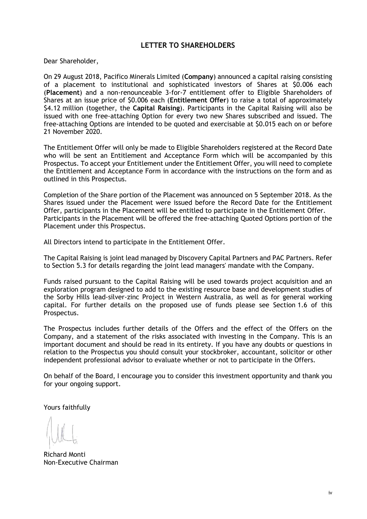# **LETTER TO SHAREHOLDERS**

Dear Shareholder,

On 29 August 2018, Pacifico Minerals Limited (**Company**) announced a capital raising consisting of a placement to institutional and sophisticated investors of Shares at \$0.006 each (**Placement**) and a non-renounceable 3-for-7 entitlement offer to Eligible Shareholders of Shares at an issue price of \$0.006 each (**Entitlement Offer**) to raise a total of approximately \$4.12 million (together, the **Capital Raising**). Participants in the Capital Raising will also be issued with one free-attaching Option for every two new Shares subscribed and issued. The free-attaching Options are intended to be quoted and exercisable at \$0.015 each on or before 21 November 2020.

The Entitlement Offer will only be made to Eligible Shareholders registered at the Record Date who will be sent an Entitlement and Acceptance Form which will be accompanied by this Prospectus. To accept your Entitlement under the Entitlement Offer, you will need to complete the Entitlement and Acceptance Form in accordance with the instructions on the form and as outlined in this Prospectus.

Completion of the Share portion of the Placement was announced on 5 September 2018. As the Shares issued under the Placement were issued before the Record Date for the Entitlement Offer, participants in the Placement will be entitled to participate in the Entitlement Offer. Participants in the Placement will be offered the free-attaching Quoted Options portion of the Placement under this Prospectus.

All Directors intend to participate in the Entitlement Offer.

The Capital Raising is joint lead managed by Discovery Capital Partners and PAC Partners. Refer to Section 5.3 for details regarding the joint lead managers' mandate with the Company.

Funds raised pursuant to the Capital Raising will be used towards project acquisition and an exploration program designed to add to the existing resource base and development studies of the Sorby Hills lead-silver-zinc Project in Western Australia, as well as for general working capital. For further details on the proposed use of funds please see Section 1.6 of this Prospectus.

The Prospectus includes further details of the Offers and the effect of the Offers on the Company, and a statement of the risks associated with investing in the Company. This is an important document and should be read in its entirety. If you have any doubts or questions in relation to the Prospectus you should consult your stockbroker, accountant, solicitor or other independent professional advisor to evaluate whether or not to participate in the Offers.

On behalf of the Board, I encourage you to consider this investment opportunity and thank you for your ongoing support.

Yours faithfully

Richard Monti Non-Executive Chairman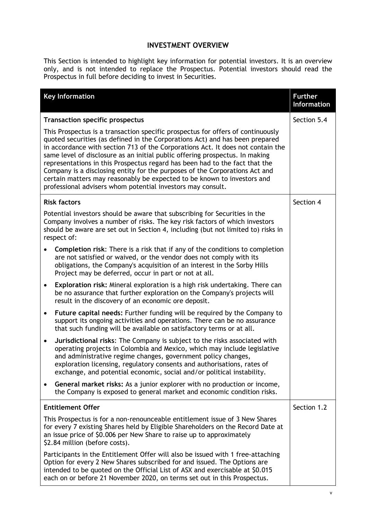# **INVESTMENT OVERVIEW**

This Section is intended to highlight key information for potential investors. It is an overview only, and is not intended to replace the Prospectus. Potential investors should read the Prospectus in full before deciding to invest in Securities.

|                                                                                                                                                                                                                                                                          | <b>Key Information</b>                                                                                                                                                                                                                                                                                                                                                                                                                                                                                                                                                                                                                     | <b>Further</b><br><b>Information</b> |
|--------------------------------------------------------------------------------------------------------------------------------------------------------------------------------------------------------------------------------------------------------------------------|--------------------------------------------------------------------------------------------------------------------------------------------------------------------------------------------------------------------------------------------------------------------------------------------------------------------------------------------------------------------------------------------------------------------------------------------------------------------------------------------------------------------------------------------------------------------------------------------------------------------------------------------|--------------------------------------|
| <b>Transaction specific prospectus</b>                                                                                                                                                                                                                                   | Section 5.4                                                                                                                                                                                                                                                                                                                                                                                                                                                                                                                                                                                                                                |                                      |
|                                                                                                                                                                                                                                                                          | This Prospectus is a transaction specific prospectus for offers of continuously<br>quoted securities (as defined in the Corporations Act) and has been prepared<br>in accordance with section 713 of the Corporations Act. It does not contain the<br>same level of disclosure as an initial public offering prospectus. In making<br>representations in this Prospectus regard has been had to the fact that the<br>Company is a disclosing entity for the purposes of the Corporations Act and<br>certain matters may reasonably be expected to be known to investors and<br>professional advisers whom potential investors may consult. |                                      |
|                                                                                                                                                                                                                                                                          | <b>Risk factors</b>                                                                                                                                                                                                                                                                                                                                                                                                                                                                                                                                                                                                                        | Section 4                            |
|                                                                                                                                                                                                                                                                          | Potential investors should be aware that subscribing for Securities in the<br>Company involves a number of risks. The key risk factors of which investors<br>should be aware are set out in Section 4, including (but not limited to) risks in<br>respect of:                                                                                                                                                                                                                                                                                                                                                                              |                                      |
|                                                                                                                                                                                                                                                                          | <b>Completion risk:</b> There is a risk that if any of the conditions to completion<br>are not satisfied or waived, or the vendor does not comply with its<br>obligations, the Company's acquisition of an interest in the Sorby Hills<br>Project may be deferred, occur in part or not at all.                                                                                                                                                                                                                                                                                                                                            |                                      |
| $\bullet$                                                                                                                                                                                                                                                                | Exploration risk: Mineral exploration is a high risk undertaking. There can<br>be no assurance that further exploration on the Company's projects will<br>result in the discovery of an economic ore deposit.                                                                                                                                                                                                                                                                                                                                                                                                                              |                                      |
| $\bullet$                                                                                                                                                                                                                                                                | Future capital needs: Further funding will be required by the Company to<br>support its ongoing activities and operations. There can be no assurance<br>that such funding will be available on satisfactory terms or at all.                                                                                                                                                                                                                                                                                                                                                                                                               |                                      |
| $\bullet$                                                                                                                                                                                                                                                                | Jurisdictional risks: The Company is subject to the risks associated with<br>operating projects in Colombia and Mexico, which may include legislative<br>and administrative regime changes, government policy changes,<br>exploration licensing, regulatory consents and authorisations, rates of<br>exchange, and potential economic, social and/or political instability.                                                                                                                                                                                                                                                                |                                      |
| $\bullet$                                                                                                                                                                                                                                                                | General market risks: As a junior explorer with no production or income,<br>the Company is exposed to general market and economic condition risks.                                                                                                                                                                                                                                                                                                                                                                                                                                                                                         |                                      |
|                                                                                                                                                                                                                                                                          | <b>Entitlement Offer</b>                                                                                                                                                                                                                                                                                                                                                                                                                                                                                                                                                                                                                   | Section 1.2                          |
| This Prospectus is for a non-renounceable entitlement issue of 3 New Shares<br>for every 7 existing Shares held by Eligible Shareholders on the Record Date at<br>an issue price of \$0.006 per New Share to raise up to approximately<br>\$2.84 million (before costs). |                                                                                                                                                                                                                                                                                                                                                                                                                                                                                                                                                                                                                                            |                                      |
|                                                                                                                                                                                                                                                                          | Participants in the Entitlement Offer will also be issued with 1 free-attaching<br>Option for every 2 New Shares subscribed for and issued. The Options are<br>intended to be quoted on the Official List of ASX and exercisable at \$0.015<br>each on or before 21 November 2020, on terms set out in this Prospectus.                                                                                                                                                                                                                                                                                                                    |                                      |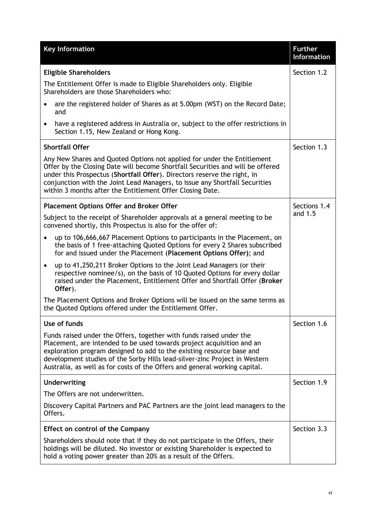| <b>Key Information</b>                                                                                                                                                                                                                                                                                                                                                            | <b>Further</b><br><b>Information</b> |  |
|-----------------------------------------------------------------------------------------------------------------------------------------------------------------------------------------------------------------------------------------------------------------------------------------------------------------------------------------------------------------------------------|--------------------------------------|--|
| <b>Eligible Shareholders</b>                                                                                                                                                                                                                                                                                                                                                      | Section 1.2                          |  |
| The Entitlement Offer is made to Eligible Shareholders only. Eligible<br>Shareholders are those Shareholders who:                                                                                                                                                                                                                                                                 |                                      |  |
| are the registered holder of Shares as at 5.00pm (WST) on the Record Date;<br>$\bullet$<br>and                                                                                                                                                                                                                                                                                    |                                      |  |
| have a registered address in Australia or, subject to the offer restrictions in<br>$\bullet$<br>Section 1.15, New Zealand or Hong Kong.                                                                                                                                                                                                                                           |                                      |  |
| <b>Shortfall Offer</b>                                                                                                                                                                                                                                                                                                                                                            | Section 1.3                          |  |
| Any New Shares and Quoted Options not applied for under the Entitlement<br>Offer by the Closing Date will become Shortfall Securities and will be offered<br>under this Prospectus (Shortfall Offer). Directors reserve the right, in<br>conjunction with the Joint Lead Managers, to issue any Shortfall Securities<br>within 3 months after the Entitlement Offer Closing Date. |                                      |  |
| <b>Placement Options Offer and Broker Offer</b>                                                                                                                                                                                                                                                                                                                                   | Sections 1.4<br>and 1.5              |  |
| Subject to the receipt of Shareholder approvals at a general meeting to be<br>convened shortly, this Prospectus is also for the offer of:                                                                                                                                                                                                                                         |                                      |  |
| up to 106,666,667 Placement Options to participants in the Placement, on<br>$\bullet$<br>the basis of 1 free-attaching Quoted Options for every 2 Shares subscribed<br>for and issued under the Placement (Placement Options Offer); and                                                                                                                                          |                                      |  |
| up to 41,250,211 Broker Options to the Joint Lead Managers (or their<br>$\bullet$<br>respective nominee/s), on the basis of 10 Quoted Options for every dollar<br>raised under the Placement, Entitlement Offer and Shortfall Offer (Broker<br>Offer).                                                                                                                            |                                      |  |
| The Placement Options and Broker Options will be issued on the same terms as<br>the Quoted Options offered under the Entitlement Offer.                                                                                                                                                                                                                                           |                                      |  |
| Use of funds                                                                                                                                                                                                                                                                                                                                                                      | Section 1.6                          |  |
| Funds raised under the Offers, together with funds raised under the<br>Placement, are intended to be used towards project acquisition and an<br>exploration program designed to add to the existing resource base and<br>development studies of the Sorby Hills lead-silver-zinc Project in Western<br>Australia, as well as for costs of the Offers and general working capital. |                                      |  |
| Underwriting                                                                                                                                                                                                                                                                                                                                                                      | Section 1.9                          |  |
| The Offers are not underwritten.                                                                                                                                                                                                                                                                                                                                                  |                                      |  |
| Discovery Capital Partners and PAC Partners are the joint lead managers to the<br>Offers.                                                                                                                                                                                                                                                                                         |                                      |  |
| <b>Effect on control of the Company</b>                                                                                                                                                                                                                                                                                                                                           | Section 3.3                          |  |
| Shareholders should note that if they do not participate in the Offers, their<br>holdings will be diluted. No investor or existing Shareholder is expected to<br>hold a voting power greater than 20% as a result of the Offers.                                                                                                                                                  |                                      |  |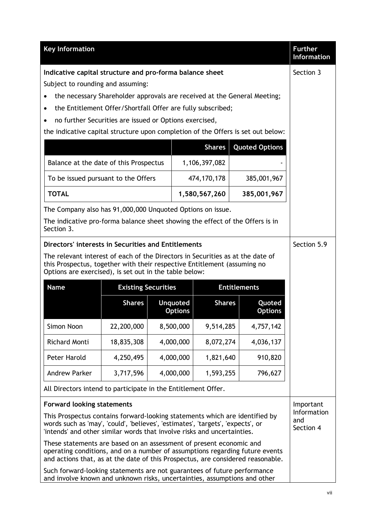| <b>Key Information</b>                                                                                                                                                                                                                    |               |  |                                   |               |                                 |                          | <b>Further</b><br><b>Information</b> |
|-------------------------------------------------------------------------------------------------------------------------------------------------------------------------------------------------------------------------------------------|---------------|--|-----------------------------------|---------------|---------------------------------|--------------------------|--------------------------------------|
| Indicative capital structure and pro-forma balance sheet                                                                                                                                                                                  |               |  |                                   |               |                                 |                          | Section 3                            |
| Subject to rounding and assuming:                                                                                                                                                                                                         |               |  |                                   |               |                                 |                          |                                      |
| the necessary Shareholder approvals are received at the General Meeting;                                                                                                                                                                  |               |  |                                   |               |                                 |                          |                                      |
| the Entitlement Offer/Shortfall Offer are fully subscribed;<br>$\bullet$                                                                                                                                                                  |               |  |                                   |               |                                 |                          |                                      |
| no further Securities are issued or Options exercised,                                                                                                                                                                                    |               |  |                                   |               |                                 |                          |                                      |
| the indicative capital structure upon completion of the Offers is set out below:                                                                                                                                                          |               |  |                                   |               |                                 |                          |                                      |
|                                                                                                                                                                                                                                           |               |  |                                   | <b>Shares</b> |                                 | <b>Quoted Options</b>    |                                      |
| Balance at the date of this Prospectus                                                                                                                                                                                                    |               |  |                                   | 1,106,397,082 |                                 |                          |                                      |
| To be issued pursuant to the Offers                                                                                                                                                                                                       |               |  |                                   | 474,170,178   |                                 | 385,001,967              |                                      |
| <b>TOTAL</b>                                                                                                                                                                                                                              |               |  |                                   | 1,580,567,260 |                                 | 385,001,967              |                                      |
| The Company also has 91,000,000 Unquoted Options on issue.                                                                                                                                                                                |               |  |                                   |               |                                 |                          |                                      |
| The indicative pro-forma balance sheet showing the effect of the Offers is in                                                                                                                                                             |               |  |                                   |               |                                 |                          |                                      |
| Section 3.                                                                                                                                                                                                                                |               |  |                                   |               |                                 |                          |                                      |
| Directors' interests in Securities and Entitlements                                                                                                                                                                                       |               |  |                                   |               |                                 |                          | Section 5.9                          |
| The relevant interest of each of the Directors in Securities as at the date of                                                                                                                                                            |               |  |                                   |               |                                 |                          |                                      |
| this Prospectus, together with their respective Entitlement (assuming no<br>Options are exercised), is set out in the table below:                                                                                                        |               |  |                                   |               |                                 |                          |                                      |
| <b>Name</b><br><b>Entitlements</b><br><b>Existing Securities</b>                                                                                                                                                                          |               |  |                                   |               |                                 |                          |                                      |
|                                                                                                                                                                                                                                           | <b>Shares</b> |  | <b>Unquoted</b><br><b>Options</b> | <b>Shares</b> |                                 | Quoted<br><b>Options</b> |                                      |
| Simon Noon                                                                                                                                                                                                                                | 22,200,000    |  | 8,500,000                         | 9,514,285     |                                 | 4,757,142                |                                      |
| <b>Richard Monti</b>                                                                                                                                                                                                                      | 18,835,308    |  | 4,000,000                         | 8,072,274     |                                 | 4,036,137                |                                      |
| Peter Harold                                                                                                                                                                                                                              | 4,250,495     |  | 4,000,000                         | 1,821,640     |                                 | 910,820                  |                                      |
| <b>Andrew Parker</b>                                                                                                                                                                                                                      | 3,717,596     |  | 4,000,000                         | 1,593,255     |                                 | 796,627                  |                                      |
| All Directors intend to participate in the Entitlement Offer.                                                                                                                                                                             |               |  |                                   |               |                                 |                          |                                      |
| <b>Forward looking statements</b>                                                                                                                                                                                                         |               |  |                                   |               | Important                       |                          |                                      |
| This Prospectus contains forward-looking statements which are identified by<br>words such as 'may', 'could', 'believes', 'estimates', 'targets', 'expects', or<br>'intends' and other similar words that involve risks and uncertainties. |               |  |                                   |               | Information<br>and<br>Section 4 |                          |                                      |
| These statements are based on an assessment of present economic and<br>operating conditions, and on a number of assumptions regarding future events<br>and actions that, as at the date of this Prospectus, are considered reasonable.    |               |  |                                   |               |                                 |                          |                                      |
| Such forward-looking statements are not guarantees of future performance<br>and involve known and unknown risks, uncertainties, assumptions and other                                                                                     |               |  |                                   |               |                                 |                          |                                      |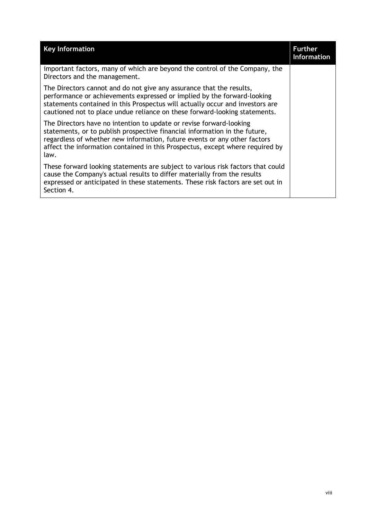| <b>Key Information</b>                                                                                                                                                                                                                                                                                                  | <b>Further</b><br><b>Information</b> |
|-------------------------------------------------------------------------------------------------------------------------------------------------------------------------------------------------------------------------------------------------------------------------------------------------------------------------|--------------------------------------|
| important factors, many of which are beyond the control of the Company, the<br>Directors and the management.                                                                                                                                                                                                            |                                      |
| The Directors cannot and do not give any assurance that the results,<br>performance or achievements expressed or implied by the forward-looking<br>statements contained in this Prospectus will actually occur and investors are<br>cautioned not to place undue reliance on these forward-looking statements.          |                                      |
| The Directors have no intention to update or revise forward-looking<br>statements, or to publish prospective financial information in the future,<br>regardless of whether new information, future events or any other factors<br>affect the information contained in this Prospectus, except where required by<br>law. |                                      |
| These forward looking statements are subject to various risk factors that could<br>cause the Company's actual results to differ materially from the results<br>expressed or anticipated in these statements. These risk factors are set out in<br>Section 4.                                                            |                                      |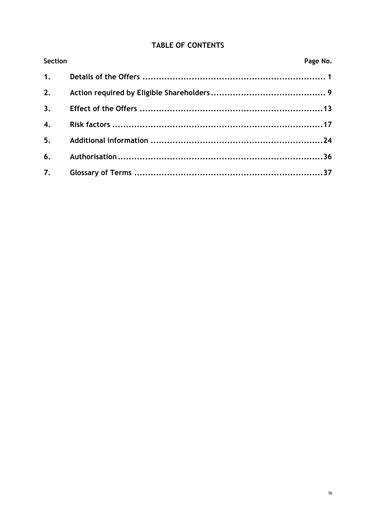# **TABLE OF CONTENTS**

| <b>Section</b>   | Page No. |
|------------------|----------|
|                  |          |
| 2.               |          |
| 3.               |          |
| $\overline{4}$ . |          |
| 5 <sub>1</sub>   |          |
|                  |          |
|                  |          |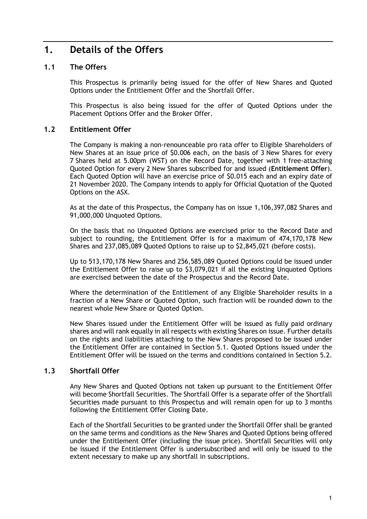# **1. Details of the Offers**

# **1.1 The Offers**

This Prospectus is primarily being issued for the offer of New Shares and Quoted Options under the Entitlement Offer and the Shortfall Offer.

This Prospectus is also being issued for the offer of Quoted Options under the Placement Options Offer and the Broker Offer.

# **1.2 Entitlement Offer**

The Company is making a non-renounceable pro rata offer to Eligible Shareholders of New Shares at an issue price of \$0.006 each, on the basis of 3 New Shares for every 7 Shares held at 5.00pm (WST) on the Record Date, together with 1 free-attaching Quoted Option for every 2 New Shares subscribed for and issued (**Entitlement Offer**). Each Quoted Option will have an exercise price of \$0.015 each and an expiry date of 21 November 2020. The Company intends to apply for Official Quotation of the Quoted Options on the ASX.

As at the date of this Prospectus, the Company has on issue 1,106,397,082 Shares and 91,000,000 Unquoted Options.

On the basis that no Unquoted Options are exercised prior to the Record Date and subject to rounding, the Entitlement Offer is for a maximum of 474,170,178 New Shares and 237,085,089 Quoted Options to raise up to \$2,845,021 (before costs).

Up to 513,170,178 New Shares and 256,585,089 Quoted Options could be issued under the Entitlement Offer to raise up to \$3,079,021 if all the existing Unquoted Options are exercised between the date of the Prospectus and the Record Date.

Where the determination of the Entitlement of any Eligible Shareholder results in a fraction of a New Share or Quoted Option, such fraction will be rounded down to the nearest whole New Share or Quoted Option.

New Shares issued under the Entitlement Offer will be issued as fully paid ordinary shares and will rank equally in all respects with existing Shares on issue. Further details on the rights and liabilities attaching to the New Shares proposed to be issued under the Entitlement Offer are contained in Section 5.1. Quoted Options issued under the Entitlement Offer will be issued on the terms and conditions contained in Section 5.2.

# **1.3 Shortfall Offer**

Any New Shares and Quoted Options not taken up pursuant to the Entitlement Offer will become Shortfall Securities. The Shortfall Offer is a separate offer of the Shortfall Securities made pursuant to this Prospectus and will remain open for up to 3 months following the Entitlement Offer Closing Date.

Each of the Shortfall Securities to be granted under the Shortfall Offer shall be granted on the same terms and conditions as the New Shares and Quoted Options being offered under the Entitlement Offer (including the issue price). Shortfall Securities will only be issued if the Entitlement Offer is undersubscribed and will only be issued to the extent necessary to make up any shortfall in subscriptions.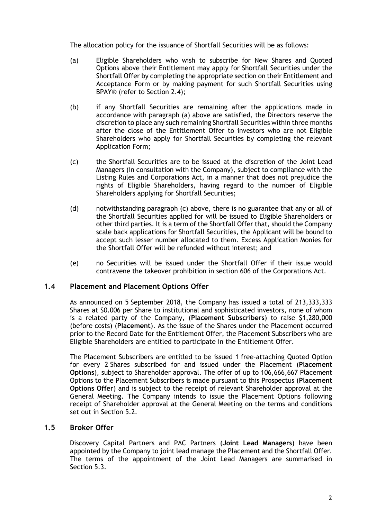The allocation policy for the issuance of Shortfall Securities will be as follows:

- (a) Eligible Shareholders who wish to subscribe for New Shares and Quoted Options above their Entitlement may apply for Shortfall Securities under the Shortfall Offer by completing the appropriate section on their Entitlement and Acceptance Form or by making payment for such Shortfall Securities using BPAY® (refer to Section 2.4);
- (b) if any Shortfall Securities are remaining after the applications made in accordance with paragraph (a) above are satisfied, the Directors reserve the discretion to place any such remaining Shortfall Securities within three months after the close of the Entitlement Offer to investors who are not Eligible Shareholders who apply for Shortfall Securities by completing the relevant Application Form;
- (c) the Shortfall Securities are to be issued at the discretion of the Joint Lead Managers (in consultation with the Company), subject to compliance with the Listing Rules and Corporations Act, in a manner that does not prejudice the rights of Eligible Shareholders, having regard to the number of Eligible Shareholders applying for Shortfall Securities;
- (d) notwithstanding paragraph (c) above, there is no guarantee that any or all of the Shortfall Securities applied for will be issued to Eligible Shareholders or other third parties. It is a term of the Shortfall Offer that, should the Company scale back applications for Shortfall Securities, the Applicant will be bound to accept such lesser number allocated to them. Excess Application Monies for the Shortfall Offer will be refunded without interest; and
- (e) no Securities will be issued under the Shortfall Offer if their issue would contravene the takeover prohibition in section 606 of the Corporations Act.

# **1.4 Placement and Placement Options Offer**

As announced on 5 September 2018, the Company has issued a total of 213,333,333 Shares at \$0.006 per Share to institutional and sophisticated investors, none of whom is a related party of the Company, (**Placement Subscribers**) to raise \$1,280,000 (before costs) (**Placement**). As the issue of the Shares under the Placement occurred prior to the Record Date for the Entitlement Offer, the Placement Subscribers who are Eligible Shareholders are entitled to participate in the Entitlement Offer.

The Placement Subscribers are entitled to be issued 1 free-attaching Quoted Option for every 2 Shares subscribed for and issued under the Placement (**Placement Options**), subject to Shareholder approval. The offer of up to 106,666,667 Placement Options to the Placement Subscribers is made pursuant to this Prospectus (**Placement Options Offer**) and is subject to the receipt of relevant Shareholder approval at the General Meeting. The Company intends to issue the Placement Options following receipt of Shareholder approval at the General Meeting on the terms and conditions set out in Section 5.2.

## **1.5 Broker Offer**

Discovery Capital Partners and PAC Partners (**Joint Lead Managers**) have been appointed by the Company to joint lead manage the Placement and the Shortfall Offer. The terms of the appointment of the Joint Lead Managers are summarised in Section 5.3.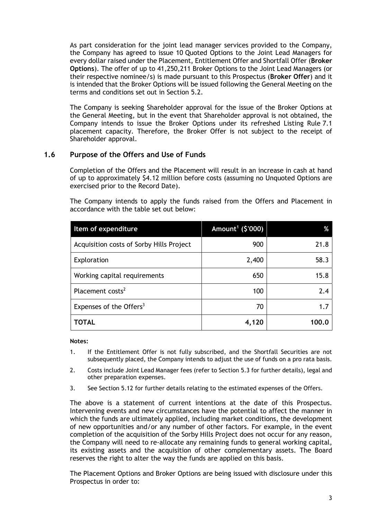As part consideration for the joint lead manager services provided to the Company, the Company has agreed to issue 10 Quoted Options to the Joint Lead Managers for every dollar raised under the Placement, Entitlement Offer and Shortfall Offer (**Broker Options**). The offer of up to 41,250,211 Broker Options to the Joint Lead Managers (or their respective nominee/s) is made pursuant to this Prospectus (**Broker Offer**) and it is intended that the Broker Options will be issued following the General Meeting on the terms and conditions set out in Section 5.2.

The Company is seeking Shareholder approval for the issue of the Broker Options at the General Meeting, but in the event that Shareholder approval is not obtained, the Company intends to issue the Broker Options under its refreshed Listing Rule 7.1 placement capacity. Therefore, the Broker Offer is not subject to the receipt of Shareholder approval.

# **1.6 Purpose of the Offers and Use of Funds**

Completion of the Offers and the Placement will result in an increase in cash at hand of up to approximately \$4.12 million before costs (assuming no Unquoted Options are exercised prior to the Record Date).

The Company intends to apply the funds raised from the Offers and Placement in accordance with the table set out below:

| Item of expenditure                      | Amount <sup>1</sup> (\$'000) | %     |
|------------------------------------------|------------------------------|-------|
| Acquisition costs of Sorby Hills Project | 900                          | 21.8  |
| Exploration                              | 2,400                        | 58.3  |
| Working capital requirements             | 650                          | 15.8  |
| Placement costs <sup>2</sup>             | 100                          | 2.4   |
| Expenses of the Offers <sup>3</sup>      | 70                           | 1.7   |
| TOTAL                                    | 4,120                        | 100.0 |

**Notes:** 

- 1. If the Entitlement Offer is not fully subscribed, and the Shortfall Securities are not subsequently placed, the Company intends to adjust the use of funds on a pro rata basis.
- 2. Costs include Joint Lead Manager fees (refer to Section 5.3 for further details), legal and other preparation expenses.
- 3. See Section 5.12 for further details relating to the estimated expenses of the Offers.

The above is a statement of current intentions at the date of this Prospectus. Intervening events and new circumstances have the potential to affect the manner in which the funds are ultimately applied, including market conditions, the development of new opportunities and/or any number of other factors. For example, in the event completion of the acquisition of the Sorby Hills Project does not occur for any reason, the Company will need to re-allocate any remaining funds to general working capital, its existing assets and the acquisition of other complementary assets. The Board reserves the right to alter the way the funds are applied on this basis.

The Placement Options and Broker Options are being issued with disclosure under this Prospectus in order to: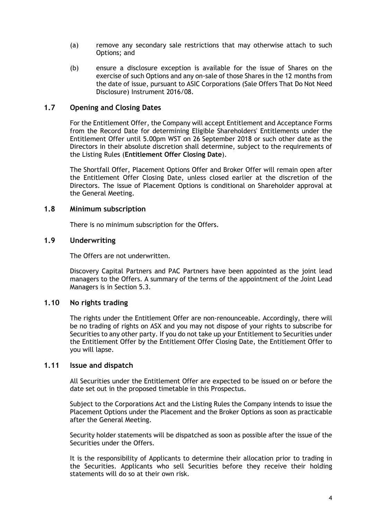- (a) remove any secondary sale restrictions that may otherwise attach to such Options; and
- (b) ensure a disclosure exception is available for the issue of Shares on the exercise of such Options and any on-sale of those Shares in the 12 months from the date of issue, pursuant to ASIC Corporations (Sale Offers That Do Not Need Disclosure) Instrument 2016/08.

# **1.7 Opening and Closing Dates**

For the Entitlement Offer, the Company will accept Entitlement and Acceptance Forms from the Record Date for determining Eligible Shareholders' Entitlements under the Entitlement Offer until 5.00pm WST on 26 September 2018 or such other date as the Directors in their absolute discretion shall determine, subject to the requirements of the Listing Rules (**Entitlement Offer Closing Date**).

The Shortfall Offer, Placement Options Offer and Broker Offer will remain open after the Entitlement Offer Closing Date, unless closed earlier at the discretion of the Directors. The issue of Placement Options is conditional on Shareholder approval at the General Meeting.

## **1.8 Minimum subscription**

There is no minimum subscription for the Offers.

# **1.9 Underwriting**

The Offers are not underwritten.

Discovery Capital Partners and PAC Partners have been appointed as the joint lead managers to the Offers. A summary of the terms of the appointment of the Joint Lead Managers is in Section 5.3.

## **1.10 No rights trading**

The rights under the Entitlement Offer are non-renounceable. Accordingly, there will be no trading of rights on ASX and you may not dispose of your rights to subscribe for Securities to any other party. If you do not take up your Entitlement to Securities under the Entitlement Offer by the Entitlement Offer Closing Date, the Entitlement Offer to you will lapse.

## **1.11 Issue and dispatch**

All Securities under the Entitlement Offer are expected to be issued on or before the date set out in the proposed timetable in this Prospectus.

Subject to the Corporations Act and the Listing Rules the Company intends to issue the Placement Options under the Placement and the Broker Options as soon as practicable after the General Meeting.

Security holder statements will be dispatched as soon as possible after the issue of the Securities under the Offers.

It is the responsibility of Applicants to determine their allocation prior to trading in the Securities. Applicants who sell Securities before they receive their holding statements will do so at their own risk.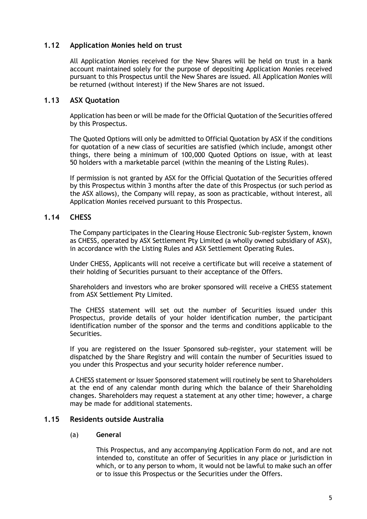# **1.12 Application Monies held on trust**

All Application Monies received for the New Shares will be held on trust in a bank account maintained solely for the purpose of depositing Application Monies received pursuant to this Prospectus until the New Shares are issued. All Application Monies will be returned (without interest) if the New Shares are not issued.

# **1.13 ASX Quotation**

Application has been or will be made for the Official Quotation of the Securities offered by this Prospectus.

The Quoted Options will only be admitted to Official Quotation by ASX if the conditions for quotation of a new class of securities are satisfied (which include, amongst other things, there being a minimum of 100,000 Quoted Options on issue, with at least 50 holders with a marketable parcel (within the meaning of the Listing Rules).

If permission is not granted by ASX for the Official Quotation of the Securities offered by this Prospectus within 3 months after the date of this Prospectus (or such period as the ASX allows), the Company will repay, as soon as practicable, without interest, all Application Monies received pursuant to this Prospectus.

# **1.14 CHESS**

The Company participates in the Clearing House Electronic Sub-register System, known as CHESS, operated by ASX Settlement Pty Limited (a wholly owned subsidiary of ASX), in accordance with the Listing Rules and ASX Settlement Operating Rules.

Under CHESS, Applicants will not receive a certificate but will receive a statement of their holding of Securities pursuant to their acceptance of the Offers.

Shareholders and investors who are broker sponsored will receive a CHESS statement from ASX Settlement Pty Limited.

The CHESS statement will set out the number of Securities issued under this Prospectus, provide details of your holder identification number, the participant identification number of the sponsor and the terms and conditions applicable to the Securities.

If you are registered on the Issuer Sponsored sub-register, your statement will be dispatched by the Share Registry and will contain the number of Securities issued to you under this Prospectus and your security holder reference number.

A CHESS statement or Issuer Sponsored statement will routinely be sent to Shareholders at the end of any calendar month during which the balance of their Shareholding changes. Shareholders may request a statement at any other time; however, a charge may be made for additional statements.

# **1.15 Residents outside Australia**

# (a) **General**

This Prospectus, and any accompanying Application Form do not, and are not intended to, constitute an offer of Securities in any place or jurisdiction in which, or to any person to whom, it would not be lawful to make such an offer or to issue this Prospectus or the Securities under the Offers.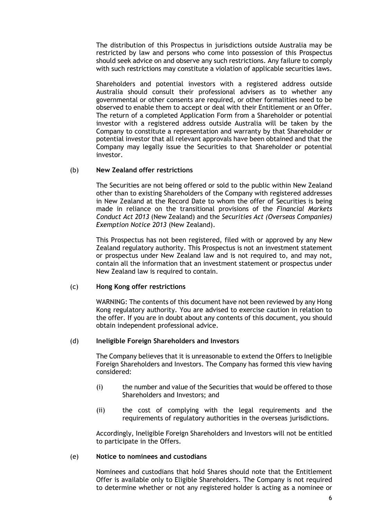The distribution of this Prospectus in jurisdictions outside Australia may be restricted by law and persons who come into possession of this Prospectus should seek advice on and observe any such restrictions. Any failure to comply with such restrictions may constitute a violation of applicable securities laws.

Shareholders and potential investors with a registered address outside Australia should consult their professional advisers as to whether any governmental or other consents are required, or other formalities need to be observed to enable them to accept or deal with their Entitlement or an Offer. The return of a completed Application Form from a Shareholder or potential investor with a registered address outside Australia will be taken by the Company to constitute a representation and warranty by that Shareholder or potential investor that all relevant approvals have been obtained and that the Company may legally issue the Securities to that Shareholder or potential investor.

### (b) **New Zealand offer restrictions**

The Securities are not being offered or sold to the public within New Zealand other than to existing Shareholders of the Company with registered addresses in New Zealand at the Record Date to whom the offer of Securities is being made in reliance on the transitional provisions of the *Financial Markets Conduct Act 2013* (New Zealand) and the *Securities Act (Overseas Companies) Exemption Notice 2013* (New Zealand).

This Prospectus has not been registered, filed with or approved by any New Zealand regulatory authority. This Prospectus is not an investment statement or prospectus under New Zealand law and is not required to, and may not, contain all the information that an investment statement or prospectus under New Zealand law is required to contain.

### (c) **Hong Kong offer restrictions**

WARNING: The contents of this document have not been reviewed by any Hong Kong regulatory authority. You are advised to exercise caution in relation to the offer. If you are in doubt about any contents of this document, you should obtain independent professional advice.

### (d) **Ineligible Foreign Shareholders and Investors**

The Company believes that it is unreasonable to extend the Offers to Ineligible Foreign Shareholders and Investors. The Company has formed this view having considered:

- (i) the number and value of the Securities that would be offered to those Shareholders and Investors; and
- (ii) the cost of complying with the legal requirements and the requirements of regulatory authorities in the overseas jurisdictions.

Accordingly, Ineligible Foreign Shareholders and Investors will not be entitled to participate in the Offers.

### (e) **Notice to nominees and custodians**

Nominees and custodians that hold Shares should note that the Entitlement Offer is available only to Eligible Shareholders. The Company is not required to determine whether or not any registered holder is acting as a nominee or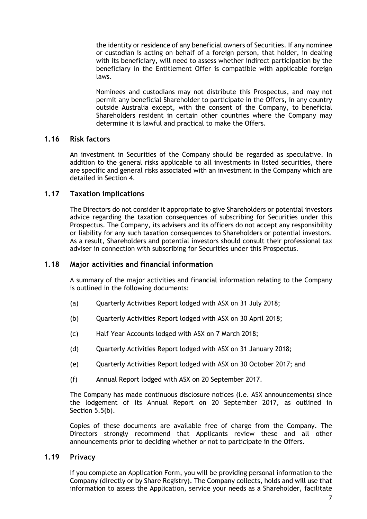the identity or residence of any beneficial owners of Securities. If any nominee or custodian is acting on behalf of a foreign person, that holder, in dealing with its beneficiary, will need to assess whether indirect participation by the beneficiary in the Entitlement Offer is compatible with applicable foreign laws.

Nominees and custodians may not distribute this Prospectus, and may not permit any beneficial Shareholder to participate in the Offers, in any country outside Australia except, with the consent of the Company, to beneficial Shareholders resident in certain other countries where the Company may determine it is lawful and practical to make the Offers.

# **1.16 Risk factors**

An investment in Securities of the Company should be regarded as speculative. In addition to the general risks applicable to all investments in listed securities, there are specific and general risks associated with an investment in the Company which are detailed in Section 4.

# **1.17 Taxation implications**

The Directors do not consider it appropriate to give Shareholders or potential investors advice regarding the taxation consequences of subscribing for Securities under this Prospectus. The Company, its advisers and its officers do not accept any responsibility or liability for any such taxation consequences to Shareholders or potential investors. As a result, Shareholders and potential investors should consult their professional tax adviser in connection with subscribing for Securities under this Prospectus.

## **1.18 Major activities and financial information**

A summary of the major activities and financial information relating to the Company is outlined in the following documents:

- (a) Quarterly Activities Report lodged with ASX on 31 July 2018;
- (b) Quarterly Activities Report lodged with ASX on 30 April 2018;
- (c) Half Year Accounts lodged with ASX on 7 March 2018;
- (d) Quarterly Activities Report lodged with ASX on 31 January 2018;
- (e) Quarterly Activities Report lodged with ASX on 30 October 2017; and
- (f) Annual Report lodged with ASX on 20 September 2017.

The Company has made continuous disclosure notices (i.e. ASX announcements) since the lodgement of its Annual Report on 20 September 2017, as outlined in Section 5.5(b).

Copies of these documents are available free of charge from the Company. The Directors strongly recommend that Applicants review these and all other announcements prior to deciding whether or not to participate in the Offers.

## **1.19 Privacy**

If you complete an Application Form, you will be providing personal information to the Company (directly or by Share Registry). The Company collects, holds and will use that information to assess the Application, service your needs as a Shareholder, facilitate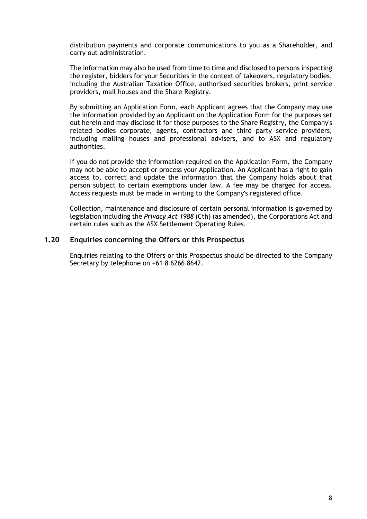distribution payments and corporate communications to you as a Shareholder, and carry out administration.

The information may also be used from time to time and disclosed to persons inspecting the register, bidders for your Securities in the context of takeovers, regulatory bodies, including the Australian Taxation Office, authorised securities brokers, print service providers, mail houses and the Share Registry.

By submitting an Application Form, each Applicant agrees that the Company may use the information provided by an Applicant on the Application Form for the purposes set out herein and may disclose it for those purposes to the Share Registry, the Company's related bodies corporate, agents, contractors and third party service providers, including mailing houses and professional advisers, and to ASX and regulatory authorities.

If you do not provide the information required on the Application Form, the Company may not be able to accept or process your Application. An Applicant has a right to gain access to, correct and update the information that the Company holds about that person subject to certain exemptions under law. A fee may be charged for access. Access requests must be made in writing to the Company's registered office.

Collection, maintenance and disclosure of certain personal information is governed by legislation including the *Privacy Act 1988* (Cth) (as amended), the Corporations Act and certain rules such as the ASX Settlement Operating Rules.

# **1.20 Enquiries concerning the Offers or this Prospectus**

Enquiries relating to the Offers or this Prospectus should be directed to the Company Secretary by telephone on +61 8 6266 8642.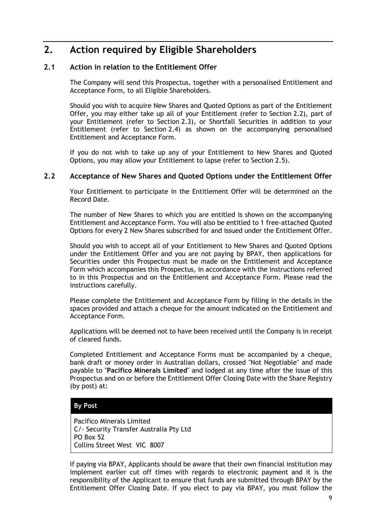# **2. Action required by Eligible Shareholders**

# **2.1 Action in relation to the Entitlement Offer**

The Company will send this Prospectus, together with a personalised Entitlement and Acceptance Form, to all Eligible Shareholders.

Should you wish to acquire New Shares and Quoted Options as part of the Entitlement Offer, you may either take up all of your Entitlement (refer to Section 2.2), part of your Entitlement (refer to Section 2.3), or Shortfall Securities in addition to your Entitlement (refer to Section 2.4) as shown on the accompanying personalised Entitlement and Acceptance Form.

If you do not wish to take up any of your Entitlement to New Shares and Quoted Options, you may allow your Entitlement to lapse (refer to Section 2.5).

# **2.2 Acceptance of New Shares and Quoted Options under the Entitlement Offer**

Your Entitlement to participate in the Entitlement Offer will be determined on the Record Date.

The number of New Shares to which you are entitled is shown on the accompanying Entitlement and Acceptance Form. You will also be entitled to 1 free-attached Quoted Options for every 2 New Shares subscribed for and issued under the Entitlement Offer.

Should you wish to accept all of your Entitlement to New Shares and Quoted Options under the Entitlement Offer and you are not paying by BPAY, then applications for Securities under this Prospectus must be made on the Entitlement and Acceptance Form which accompanies this Prospectus, in accordance with the instructions referred to in this Prospectus and on the Entitlement and Acceptance Form. Please read the instructions carefully.

Please complete the Entitlement and Acceptance Form by filling in the details in the spaces provided and attach a cheque for the amount indicated on the Entitlement and Acceptance Form.

Applications will be deemed not to have been received until the Company is in receipt of cleared funds.

Completed Entitlement and Acceptance Forms must be accompanied by a cheque, bank draft or money order in Australian dollars, crossed "Not Negotiable" and made payable to "**Pacifico Minerals Limited**" and lodged at any time after the issue of this Prospectus and on or before the Entitlement Offer Closing Date with the Share Registry (by post) at:

# **By Post**

Pacifico Minerals Limited C/- Security Transfer Australia Pty Ltd PO Box 52 Collins Street West VIC 8007

If paying via BPAY, Applicants should be aware that their own financial institution may implement earlier cut off times with regards to electronic payment and it is the responsibility of the Applicant to ensure that funds are submitted through BPAY by the Entitlement Offer Closing Date. If you elect to pay via BPAY, you must follow the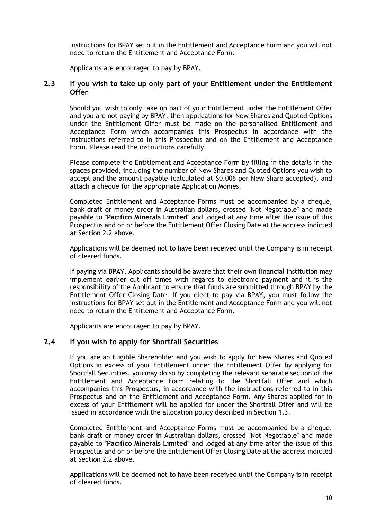instructions for BPAY set out in the Entitlement and Acceptance Form and you will not need to return the Entitlement and Acceptance Form.

Applicants are encouraged to pay by BPAY.

## **2.3 If you wish to take up only part of your Entitlement under the Entitlement Offer**

Should you wish to only take up part of your Entitlement under the Entitlement Offer and you are not paying by BPAY, then applications for New Shares and Quoted Options under the Entitlement Offer must be made on the personalised Entitlement and Acceptance Form which accompanies this Prospectus in accordance with the instructions referred to in this Prospectus and on the Entitlement and Acceptance Form. Please read the instructions carefully.

Please complete the Entitlement and Acceptance Form by filling in the details in the spaces provided, including the number of New Shares and Quoted Options you wish to accept and the amount payable (calculated at \$0.006 per New Share accepted), and attach a cheque for the appropriate Application Monies.

Completed Entitlement and Acceptance Forms must be accompanied by a cheque, bank draft or money order in Australian dollars, crossed "Not Negotiable" and made payable to "**Pacifico Minerals Limited**" and lodged at any time after the issue of this Prospectus and on or before the Entitlement Offer Closing Date at the address indicted at Section 2.2 above.

Applications will be deemed not to have been received until the Company is in receipt of cleared funds.

If paying via BPAY, Applicants should be aware that their own financial institution may implement earlier cut off times with regards to electronic payment and it is the responsibility of the Applicant to ensure that funds are submitted through BPAY by the Entitlement Offer Closing Date. If you elect to pay via BPAY, you must follow the instructions for BPAY set out in the Entitlement and Acceptance Form and you will not need to return the Entitlement and Acceptance Form.

Applicants are encouraged to pay by BPAY.

## **2.4 If you wish to apply for Shortfall Securities**

If you are an Eligible Shareholder and you wish to apply for New Shares and Quoted Options in excess of your Entitlement under the Entitlement Offer by applying for Shortfall Securities, you may do so by completing the relevant separate section of the Entitlement and Acceptance Form relating to the Shortfall Offer and which accompanies this Prospectus, in accordance with the instructions referred to in this Prospectus and on the Entitlement and Acceptance Form. Any Shares applied for in excess of your Entitlement will be applied for under the Shortfall Offer and will be issued in accordance with the allocation policy described in Section 1.3.

Completed Entitlement and Acceptance Forms must be accompanied by a cheque, bank draft or money order in Australian dollars, crossed "Not Negotiable" and made payable to "**Pacifico Minerals Limited**" and lodged at any time after the issue of this Prospectus and on or before the Entitlement Offer Closing Date at the address indicted at Section 2.2 above.

Applications will be deemed not to have been received until the Company is in receipt of cleared funds.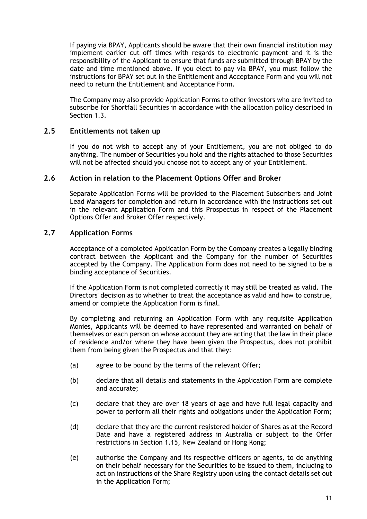If paying via BPAY, Applicants should be aware that their own financial institution may implement earlier cut off times with regards to electronic payment and it is the responsibility of the Applicant to ensure that funds are submitted through BPAY by the date and time mentioned above. If you elect to pay via BPAY, you must follow the instructions for BPAY set out in the Entitlement and Acceptance Form and you will not need to return the Entitlement and Acceptance Form.

The Company may also provide Application Forms to other investors who are invited to subscribe for Shortfall Securities in accordance with the allocation policy described in Section 1.3.

# **2.5 Entitlements not taken up**

If you do not wish to accept any of your Entitlement, you are not obliged to do anything. The number of Securities you hold and the rights attached to those Securities will not be affected should you choose not to accept any of your Entitlement.

## **2.6 Action in relation to the Placement Options Offer and Broker**

Separate Application Forms will be provided to the Placement Subscribers and Joint Lead Managers for completion and return in accordance with the instructions set out in the relevant Application Form and this Prospectus in respect of the Placement Options Offer and Broker Offer respectively.

# **2.7 Application Forms**

Acceptance of a completed Application Form by the Company creates a legally binding contract between the Applicant and the Company for the number of Securities accepted by the Company. The Application Form does not need to be signed to be a binding acceptance of Securities.

If the Application Form is not completed correctly it may still be treated as valid. The Directors' decision as to whether to treat the acceptance as valid and how to construe, amend or complete the Application Form is final.

By completing and returning an Application Form with any requisite Application Monies, Applicants will be deemed to have represented and warranted on behalf of themselves or each person on whose account they are acting that the law in their place of residence and/or where they have been given the Prospectus, does not prohibit them from being given the Prospectus and that they:

- (a) agree to be bound by the terms of the relevant Offer;
- (b) declare that all details and statements in the Application Form are complete and accurate;
- (c) declare that they are over 18 years of age and have full legal capacity and power to perform all their rights and obligations under the Application Form;
- (d) declare that they are the current registered holder of Shares as at the Record Date and have a registered address in Australia or subject to the Offer restrictions in Section 1.15, New Zealand or Hong Kong;
- (e) authorise the Company and its respective officers or agents, to do anything on their behalf necessary for the Securities to be issued to them, including to act on instructions of the Share Registry upon using the contact details set out in the Application Form;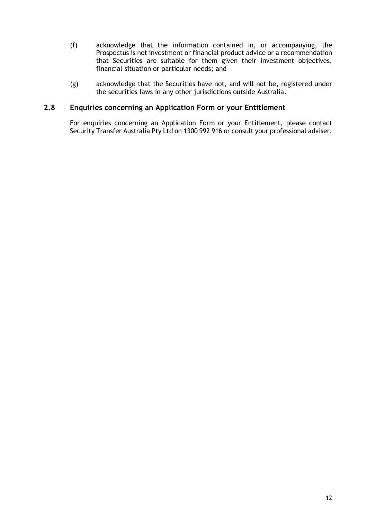- (f) acknowledge that the information contained in, or accompanying, the Prospectus is not investment or financial product advice or a recommendation that Securities are suitable for them given their investment objectives, financial situation or particular needs; and
- (g) acknowledge that the Securities have not, and will not be, registered under the securities laws in any other jurisdictions outside Australia.

# **2.8 Enquiries concerning an Application Form or your Entitlement**

For enquiries concerning an Application Form or your Entitlement, please contact Security Transfer Australia Pty Ltd on 1300 992 916 or consult your professional adviser.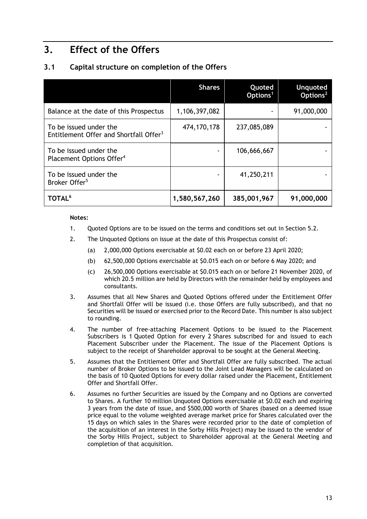# **3. Effect of the Offers**

# **3.1 Capital structure on completion of the Offers**

|                                                                              | <b>Shares</b> | Quoted<br>Options <sup>1</sup> | <b>Unquoted</b><br>Options <sup>2</sup> |
|------------------------------------------------------------------------------|---------------|--------------------------------|-----------------------------------------|
| Balance at the date of this Prospectus                                       | 1,106,397,082 |                                | 91,000,000                              |
| To be issued under the<br>Entitlement Offer and Shortfall Offer <sup>3</sup> | 474, 170, 178 | 237,085,089                    |                                         |
| To be issued under the<br>Placement Options Offer <sup>4</sup>               |               | 106,666,667                    |                                         |
| To be issued under the<br>Broker Offer <sup>5</sup>                          |               | 41,250,211                     |                                         |
| <b>TOTAL<sup>6</sup></b>                                                     | 1,580,567,260 | 385,001,967                    | 91,000,000                              |

### **Notes:**

- 1. Quoted Options are to be issued on the terms and conditions set out in Section 5.2.
- 2. The Unquoted Options on issue at the date of this Prospectus consist of:
	- (a) 2,000,000 Options exercisable at \$0.02 each on or before 23 April 2020;
	- (b) 62,500,000 Options exercisable at \$0.015 each on or before 6 May 2020; and
	- (c) 26,500,000 Options exercisable at \$0.015 each on or before 21 November 2020, of which 20.5 million are held by Directors with the remainder held by employees and consultants.
- 3. Assumes that all New Shares and Quoted Options offered under the Entitlement Offer and Shortfall Offer will be issued (i.e. those Offers are fully subscribed), and that no Securities will be issued or exercised prior to the Record Date. This number is also subject to rounding.
- 4. The number of free-attaching Placement Options to be issued to the Placement Subscribers is 1 Quoted Option for every 2 Shares subscribed for and issued to each Placement Subscriber under the Placement. The issue of the Placement Options is subject to the receipt of Shareholder approval to be sought at the General Meeting.
- 5. Assumes that the Entitlement Offer and Shortfall Offer are fully subscribed. The actual number of Broker Options to be issued to the Joint Lead Managers will be calculated on the basis of 10 Quoted Options for every dollar raised under the Placement, Entitlement Offer and Shortfall Offer.
- 6. Assumes no further Securities are issued by the Company and no Options are converted to Shares. A further 10 million Unquoted Options exercisable at \$0.02 each and expiring 3 years from the date of issue, and \$500,000 worth of Shares (based on a deemed issue price equal to the volume weighted average market price for Shares calculated over the 15 days on which sales in the Shares were recorded prior to the date of completion of the acquisition of an interest in the Sorby Hills Project) may be issued to the vendor of the Sorby Hills Project, subject to Shareholder approval at the General Meeting and completion of that acquisition.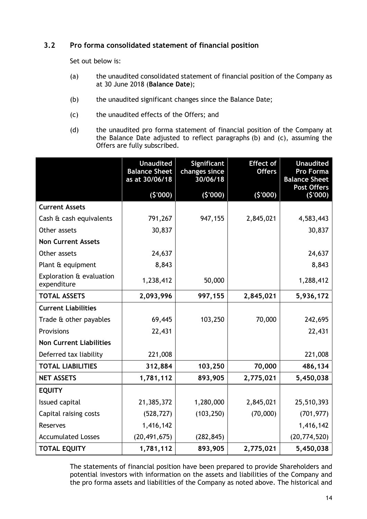# **3.2 Pro forma consolidated statement of financial position**

Set out below is:

- (a) the unaudited consolidated statement of financial position of the Company as at 30 June 2018 (**Balance Date**);
- (b) the unaudited significant changes since the Balance Date;
- (c) the unaudited effects of the Offers; and
- (d) the unaudited pro forma statement of financial position of the Company at the Balance Date adjusted to reflect paragraphs (b) and (c), assuming the Offers are fully subscribed.

|                                         | <b>Unaudited</b><br><b>Balance Sheet</b><br>as at 30/06/18 | Significant<br>changes since<br>30/06/18 | <b>Effect of</b><br><b>Offers</b> | <b>Unaudited</b><br><b>Pro Forma</b><br><b>Balance Sheet</b><br><b>Post Offers</b> |
|-----------------------------------------|------------------------------------------------------------|------------------------------------------|-----------------------------------|------------------------------------------------------------------------------------|
|                                         | (5'000)                                                    | (5'000)                                  | (5'000)                           | (5'000)                                                                            |
| <b>Current Assets</b>                   |                                                            |                                          |                                   |                                                                                    |
| Cash & cash equivalents                 | 791,267                                                    | 947,155                                  | 2,845,021                         | 4,583,443                                                                          |
| Other assets                            | 30,837                                                     |                                          |                                   | 30,837                                                                             |
| <b>Non Current Assets</b>               |                                                            |                                          |                                   |                                                                                    |
| Other assets                            | 24,637                                                     |                                          |                                   | 24,637                                                                             |
| Plant & equipment                       | 8,843                                                      |                                          |                                   | 8,843                                                                              |
| Exploration & evaluation<br>expenditure | 1,238,412                                                  | 50,000                                   |                                   | 1,288,412                                                                          |
| <b>TOTAL ASSETS</b>                     | 2,093,996                                                  | 997,155                                  | 2,845,021                         | 5,936,172                                                                          |
| <b>Current Liabilities</b>              |                                                            |                                          |                                   |                                                                                    |
| Trade & other payables                  | 69,445                                                     | 103,250                                  | 70,000                            | 242,695                                                                            |
| Provisions                              | 22,431                                                     |                                          |                                   | 22,431                                                                             |
| <b>Non Current Liabilities</b>          |                                                            |                                          |                                   |                                                                                    |
| Deferred tax liability                  | 221,008                                                    |                                          |                                   | 221,008                                                                            |
| <b>TOTAL LIABILITIES</b>                | 312,884                                                    | 103,250                                  | 70,000                            | 486,134                                                                            |
| <b>NET ASSETS</b>                       | 1,781,112                                                  | 893,905                                  | 2,775,021                         | 5,450,038                                                                          |
| <b>EQUITY</b>                           |                                                            |                                          |                                   |                                                                                    |
| Issued capital                          | 21,385,372                                                 | 1,280,000                                | 2,845,021                         | 25,510,393                                                                         |
| Capital raising costs                   | (528, 727)                                                 | (103, 250)                               | (70,000)                          | (701, 977)                                                                         |
| <b>Reserves</b>                         | 1,416,142                                                  |                                          |                                   | 1,416,142                                                                          |
| <b>Accumulated Losses</b>               | (20, 491, 675)                                             | (282, 845)                               |                                   | (20, 774, 520)                                                                     |
| <b>TOTAL EQUITY</b>                     | 1,781,112                                                  | 893,905                                  | 2,775,021                         | 5,450,038                                                                          |

The statements of financial position have been prepared to provide Shareholders and potential investors with information on the assets and liabilities of the Company and the pro forma assets and liabilities of the Company as noted above. The historical and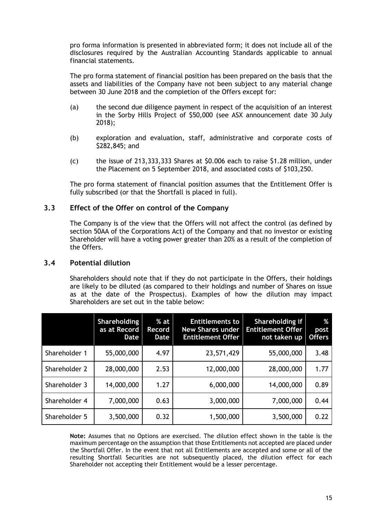pro forma information is presented in abbreviated form; it does not include all of the disclosures required by the Australian Accounting Standards applicable to annual financial statements.

The pro forma statement of financial position has been prepared on the basis that the assets and liabilities of the Company have not been subject to any material change between 30 June 2018 and the completion of the Offers except for:

- (a) the second due diligence payment in respect of the acquisition of an interest in the Sorby Hills Project of \$50,000 (see ASX announcement date 30 July 2018);
- (b) exploration and evaluation, staff, administrative and corporate costs of \$282,845; and
- (c) the issue of 213,333,333 Shares at \$0.006 each to raise \$1.28 million, under the Placement on 5 September 2018, and associated costs of \$103,250.

The pro forma statement of financial position assumes that the Entitlement Offer is fully subscribed (or that the Shortfall is placed in full).

# **3.3 Effect of the Offer on control of the Company**

The Company is of the view that the Offers will not affect the control (as defined by section 50AA of the Corporations Act) of the Company and that no investor or existing Shareholder will have a voting power greater than 20% as a result of the completion of the Offers.

## **3.4 Potential dilution**

Shareholders should note that if they do not participate in the Offers, their holdings are likely to be diluted (as compared to their holdings and number of Shares on issue as at the date of the Prospectus). Examples of how the dilution may impact Shareholders are set out in the table below:

|               | <b>Shareholding</b><br>as at Record<br><b>Date</b> | $%$ at<br>Record<br><b>Date</b> | <b>Entitlements to</b><br><b>New Shares under</b><br><b>Entitlement Offer</b> | Shareholding if<br><b>Entitlement Offer</b><br>not taken up | %<br>post<br><b>Offers</b> |
|---------------|----------------------------------------------------|---------------------------------|-------------------------------------------------------------------------------|-------------------------------------------------------------|----------------------------|
| Shareholder 1 | 55,000,000                                         | 4.97                            | 23,571,429                                                                    | 55,000,000                                                  | 3.48                       |
| Shareholder 2 | 28,000,000                                         | 2.53                            | 12,000,000                                                                    | 28,000,000                                                  | 1.77                       |
| Shareholder 3 | 14,000,000                                         | 1.27                            | 6,000,000                                                                     | 14,000,000                                                  | 0.89                       |
| Shareholder 4 | 7,000,000                                          | 0.63                            | 3,000,000                                                                     | 7,000,000                                                   | 0.44                       |
| Shareholder 5 | 3,500,000                                          | 0.32                            | 1,500,000                                                                     | 3,500,000                                                   | 0.22                       |

**Note:** Assumes that no Options are exercised. The dilution effect shown in the table is the maximum percentage on the assumption that those Entitlements not accepted are placed under the Shortfall Offer. In the event that not all Entitlements are accepted and some or all of the resulting Shortfall Securities are not subsequently placed, the dilution effect for each Shareholder not accepting their Entitlement would be a lesser percentage.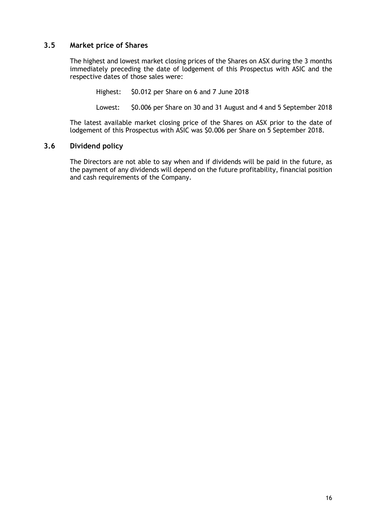# **3.5 Market price of Shares**

The highest and lowest market closing prices of the Shares on ASX during the 3 months immediately preceding the date of lodgement of this Prospectus with ASIC and the respective dates of those sales were:

Highest: \$0.012 per Share on 6 and 7 June 2018

Lowest: \$0.006 per Share on 30 and 31 August and 4 and 5 September 2018

The latest available market closing price of the Shares on ASX prior to the date of lodgement of this Prospectus with ASIC was \$0.006 per Share on 5 September 2018.

# **3.6 Dividend policy**

The Directors are not able to say when and if dividends will be paid in the future, as the payment of any dividends will depend on the future profitability, financial position and cash requirements of the Company.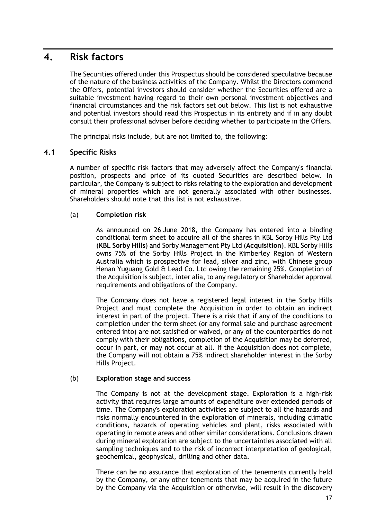# **4. Risk factors**

The Securities offered under this Prospectus should be considered speculative because of the nature of the business activities of the Company. Whilst the Directors commend the Offers, potential investors should consider whether the Securities offered are a suitable investment having regard to their own personal investment objectives and financial circumstances and the risk factors set out below. This list is not exhaustive and potential investors should read this Prospectus in its entirety and if in any doubt consult their professional adviser before deciding whether to participate in the Offers.

The principal risks include, but are not limited to, the following:

# **4.1 Specific Risks**

A number of specific risk factors that may adversely affect the Company's financial position, prospects and price of its quoted Securities are described below. In particular, the Company is subject to risks relating to the exploration and development of mineral properties which are not generally associated with other businesses. Shareholders should note that this list is not exhaustive.

# (a) **Completion risk**

As announced on 26 June 2018, the Company has entered into a binding conditional term sheet to acquire all of the shares in KBL Sorby Hills Pty Ltd (**KBL Sorby Hills**) and Sorby Management Pty Ltd (**Acquisition**). KBL Sorby Hills owns 75% of the Sorby Hills Project in the Kimberley Region of Western Australia which is prospective for lead, silver and zinc, with Chinese group Henan Yuguang Gold & Lead Co. Ltd owing the remaining 25%. Completion of the Acquisition is subject, inter alia, to any regulatory or Shareholder approval requirements and obligations of the Company.

The Company does not have a registered legal interest in the Sorby Hills Project and must complete the Acquisition in order to obtain an indirect interest in part of the project. There is a risk that if any of the conditions to completion under the term sheet (or any formal sale and purchase agreement entered into) are not satisfied or waived, or any of the counterparties do not comply with their obligations, completion of the Acquisition may be deferred, occur in part, or may not occur at all. If the Acquisition does not complete, the Company will not obtain a 75% indirect shareholder interest in the Sorby Hills Project.

## (b) **Exploration stage and success**

The Company is not at the development stage. Exploration is a high-risk activity that requires large amounts of expenditure over extended periods of time. The Company's exploration activities are subject to all the hazards and risks normally encountered in the exploration of minerals, including climatic conditions, hazards of operating vehicles and plant, risks associated with operating in remote areas and other similar considerations. Conclusions drawn during mineral exploration are subject to the uncertainties associated with all sampling techniques and to the risk of incorrect interpretation of geological, geochemical, geophysical, drilling and other data.

There can be no assurance that exploration of the tenements currently held by the Company, or any other tenements that may be acquired in the future by the Company via the Acquisition or otherwise, will result in the discovery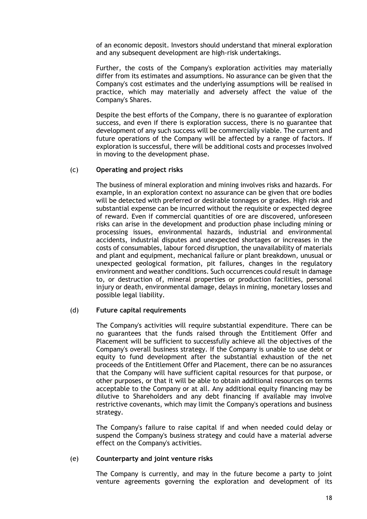of an economic deposit. Investors should understand that mineral exploration and any subsequent development are high-risk undertakings.

Further, the costs of the Company's exploration activities may materially differ from its estimates and assumptions. No assurance can be given that the Company's cost estimates and the underlying assumptions will be realised in practice, which may materially and adversely affect the value of the Company's Shares.

Despite the best efforts of the Company, there is no guarantee of exploration success, and even if there is exploration success, there is no guarantee that development of any such success will be commercially viable. The current and future operations of the Company will be affected by a range of factors. If exploration is successful, there will be additional costs and processes involved in moving to the development phase.

### (c) **Operating and project risks**

The business of mineral exploration and mining involves risks and hazards. For example, in an exploration context no assurance can be given that ore bodies will be detected with preferred or desirable tonnages or grades. High risk and substantial expense can be incurred without the requisite or expected degree of reward. Even if commercial quantities of ore are discovered, unforeseen risks can arise in the development and production phase including mining or processing issues, environmental hazards, industrial and environmental accidents, industrial disputes and unexpected shortages or increases in the costs of consumables, labour forced disruption, the unavailability of materials and plant and equipment, mechanical failure or plant breakdown, unusual or unexpected geological formation, pit failures, changes in the regulatory environment and weather conditions. Such occurrences could result in damage to, or destruction of, mineral properties or production facilities, personal injury or death, environmental damage, delays in mining, monetary losses and possible legal liability.

### (d) **Future capital requirements**

The Company's activities will require substantial expenditure. There can be no guarantees that the funds raised through the Entitlement Offer and Placement will be sufficient to successfully achieve all the objectives of the Company's overall business strategy. If the Company is unable to use debt or equity to fund development after the substantial exhaustion of the net proceeds of the Entitlement Offer and Placement, there can be no assurances that the Company will have sufficient capital resources for that purpose, or other purposes, or that it will be able to obtain additional resources on terms acceptable to the Company or at all. Any additional equity financing may be dilutive to Shareholders and any debt financing if available may involve restrictive covenants, which may limit the Company's operations and business strategy.

The Company's failure to raise capital if and when needed could delay or suspend the Company's business strategy and could have a material adverse effect on the Company's activities.

### (e) **Counterparty and joint venture risks**

The Company is currently, and may in the future become a party to joint venture agreements governing the exploration and development of its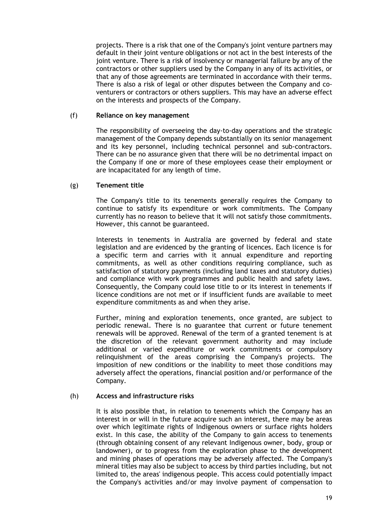projects. There is a risk that one of the Company's joint venture partners may default in their joint venture obligations or not act in the best interests of the joint venture. There is a risk of insolvency or managerial failure by any of the contractors or other suppliers used by the Company in any of its activities, or that any of those agreements are terminated in accordance with their terms. There is also a risk of legal or other disputes between the Company and coventurers or contractors or others suppliers. This may have an adverse effect on the interests and prospects of the Company.

### (f) **Reliance on key management**

The responsibility of overseeing the day-to-day operations and the strategic management of the Company depends substantially on its senior management and its key personnel, including technical personnel and sub-contractors. There can be no assurance given that there will be no detrimental impact on the Company if one or more of these employees cease their employment or are incapacitated for any length of time.

### (g) **Tenement title**

The Company's title to its tenements generally requires the Company to continue to satisfy its expenditure or work commitments. The Company currently has no reason to believe that it will not satisfy those commitments. However, this cannot be guaranteed.

Interests in tenements in Australia are governed by federal and state legislation and are evidenced by the granting of licences. Each licence is for a specific term and carries with it annual expenditure and reporting commitments, as well as other conditions requiring compliance, such as satisfaction of statutory payments (including land taxes and statutory duties) and compliance with work programmes and public health and safety laws. Consequently, the Company could lose title to or its interest in tenements if licence conditions are not met or if insufficient funds are available to meet expenditure commitments as and when they arise.

Further, mining and exploration tenements, once granted, are subject to periodic renewal. There is no guarantee that current or future tenement renewals will be approved. Renewal of the term of a granted tenement is at the discretion of the relevant government authority and may include additional or varied expenditure or work commitments or compulsory relinquishment of the areas comprising the Company's projects. The imposition of new conditions or the inability to meet those conditions may adversely affect the operations, financial position and/or performance of the Company.

### (h) **Access and infrastructure risks**

It is also possible that, in relation to tenements which the Company has an interest in or will in the future acquire such an interest, there may be areas over which legitimate rights of Indigenous owners or surface rights holders exist. In this case, the ability of the Company to gain access to tenements (through obtaining consent of any relevant Indigenous owner, body, group or landowner), or to progress from the exploration phase to the development and mining phases of operations may be adversely affected. The Company's mineral titles may also be subject to access by third parties including, but not limited to, the areas' indigenous people. This access could potentially impact the Company's activities and/or may involve payment of compensation to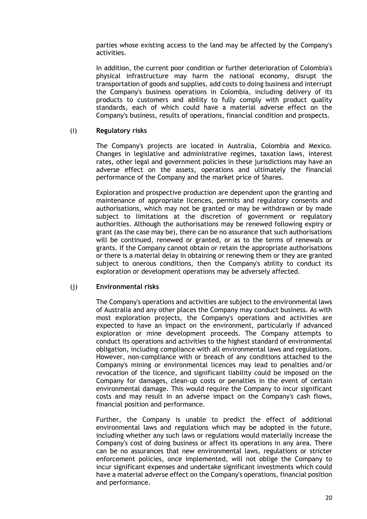parties whose existing access to the land may be affected by the Company's activities.

In addition, the current poor condition or further deterioration of Colombia's physical infrastructure may harm the national economy, disrupt the transportation of goods and supplies, add costs to doing business and interrupt the Company's business operations in Colombia, including delivery of its products to customers and ability to fully comply with product quality standards, each of which could have a material adverse effect on the Company's business, results of operations, financial condition and prospects.

### (i) **Regulatory risks**

The Company's projects are located in Australia, Colombia and Mexico. Changes in legislative and administrative regimes, taxation laws, interest rates, other legal and government policies in these jurisdictions may have an adverse effect on the assets, operations and ultimately the financial performance of the Company and the market price of Shares.

Exploration and prospective production are dependent upon the granting and maintenance of appropriate licences, permits and regulatory consents and authorisations, which may not be granted or may be withdrawn or by made subject to limitations at the discretion of government or regulatory authorities. Although the authorisations may be renewed following expiry or grant (as the case may be), there can be no assurance that such authorisations will be continued, renewed or granted, or as to the terms of renewals or grants. If the Company cannot obtain or retain the appropriate authorisations or there is a material delay in obtaining or renewing them or they are granted subject to onerous conditions, then the Company's ability to conduct its exploration or development operations may be adversely affected.

### (j) **Environmental risks**

The Company's operations and activities are subject to the environmental laws of Australia and any other places the Company may conduct business. As with most exploration projects, the Company's operations and activities are expected to have an impact on the environment, particularly if advanced exploration or mine development proceeds. The Company attempts to conduct its operations and activities to the highest standard of environmental obligation, including compliance with all environmental laws and regulations. However, non-compliance with or breach of any conditions attached to the Company's mining or environmental licences may lead to penalties and/or revocation of the licence, and significant liability could be imposed on the Company for damages, clean-up costs or penalties in the event of certain environmental damage. This would require the Company to incur significant costs and may result in an adverse impact on the Company's cash flows, financial position and performance.

Further, the Company is unable to predict the effect of additional environmental laws and regulations which may be adopted in the future, including whether any such laws or regulations would materially increase the Company's cost of doing business or affect its operations in any area. There can be no assurances that new environmental laws, regulations or stricter enforcement policies, once implemented, will not oblige the Company to incur significant expenses and undertake significant investments which could have a material adverse effect on the Company's operations, financial position and performance.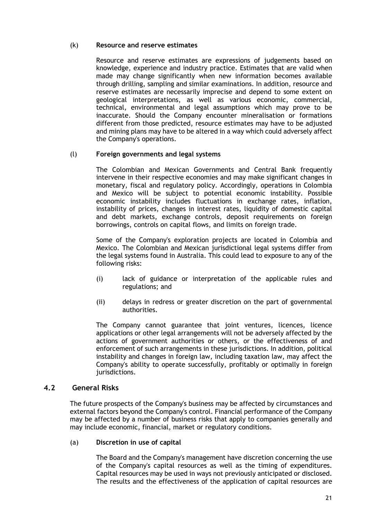## (k) **Resource and reserve estimates**

Resource and reserve estimates are expressions of judgements based on knowledge, experience and industry practice. Estimates that are valid when made may change significantly when new information becomes available through drilling, sampling and similar examinations. In addition, resource and reserve estimates are necessarily imprecise and depend to some extent on geological interpretations, as well as various economic, commercial, technical, environmental and legal assumptions which may prove to be inaccurate. Should the Company encounter mineralisation or formations different from those predicted, resource estimates may have to be adjusted and mining plans may have to be altered in a way which could adversely affect the Company's operations.

## (l) **Foreign governments and legal systems**

The Colombian and Mexican Governments and Central Bank frequently intervene in their respective economies and may make significant changes in monetary, fiscal and regulatory policy. Accordingly, operations in Colombia and Mexico will be subject to potential economic instability. Possible economic instability includes fluctuations in exchange rates, inflation, instability of prices, changes in interest rates, liquidity of domestic capital and debt markets, exchange controls, deposit requirements on foreign borrowings, controls on capital flows, and limits on foreign trade.

Some of the Company's exploration projects are located in Colombia and Mexico. The Colombian and Mexican jurisdictional legal systems differ from the legal systems found in Australia. This could lead to exposure to any of the following risks:

- (i) lack of guidance or interpretation of the applicable rules and regulations; and
- (ii) delays in redress or greater discretion on the part of governmental authorities.

The Company cannot guarantee that joint ventures, licences, licence applications or other legal arrangements will not be adversely affected by the actions of government authorities or others, or the effectiveness of and enforcement of such arrangements in these jurisdictions. In addition, political instability and changes in foreign law, including taxation law, may affect the Company's ability to operate successfully, profitably or optimally in foreign jurisdictions.

# **4.2 General Risks**

The future prospects of the Company's business may be affected by circumstances and external factors beyond the Company's control. Financial performance of the Company may be affected by a number of business risks that apply to companies generally and may include economic, financial, market or regulatory conditions.

## (a) **Discretion in use of capital**

The Board and the Company's management have discretion concerning the use of the Company's capital resources as well as the timing of expenditures. Capital resources may be used in ways not previously anticipated or disclosed. The results and the effectiveness of the application of capital resources are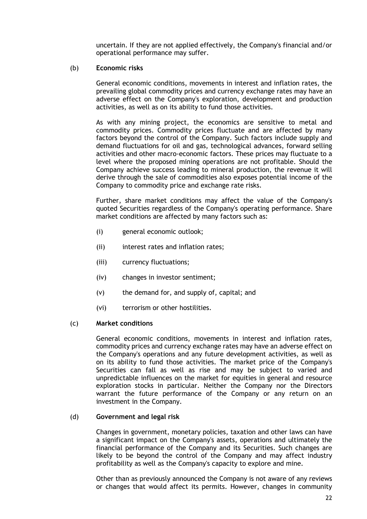uncertain. If they are not applied effectively, the Company's financial and/or operational performance may suffer.

### (b) **Economic risks**

General economic conditions, movements in interest and inflation rates, the prevailing global commodity prices and currency exchange rates may have an adverse effect on the Company's exploration, development and production activities, as well as on its ability to fund those activities.

As with any mining project, the economics are sensitive to metal and commodity prices. Commodity prices fluctuate and are affected by many factors beyond the control of the Company. Such factors include supply and demand fluctuations for oil and gas, technological advances, forward selling activities and other macro-economic factors. These prices may fluctuate to a level where the proposed mining operations are not profitable. Should the Company achieve success leading to mineral production, the revenue it will derive through the sale of commodities also exposes potential income of the Company to commodity price and exchange rate risks.

Further, share market conditions may affect the value of the Company's quoted Securities regardless of the Company's operating performance. Share market conditions are affected by many factors such as:

- (i) general economic outlook;
- (ii) interest rates and inflation rates;
- (iii) currency fluctuations;
- (iv) changes in investor sentiment;
- (v) the demand for, and supply of, capital; and
- (vi) terrorism or other hostilities.

### (c) **Market conditions**

General economic conditions, movements in interest and inflation rates, commodity prices and currency exchange rates may have an adverse effect on the Company's operations and any future development activities, as well as on its ability to fund those activities. The market price of the Company's Securities can fall as well as rise and may be subject to varied and unpredictable influences on the market for equities in general and resource exploration stocks in particular. Neither the Company nor the Directors warrant the future performance of the Company or any return on an investment in the Company.

### (d) **Government and legal risk**

Changes in government, monetary policies, taxation and other laws can have a significant impact on the Company's assets, operations and ultimately the financial performance of the Company and its Securities. Such changes are likely to be beyond the control of the Company and may affect industry profitability as well as the Company's capacity to explore and mine.

Other than as previously announced the Company is not aware of any reviews or changes that would affect its permits. However, changes in community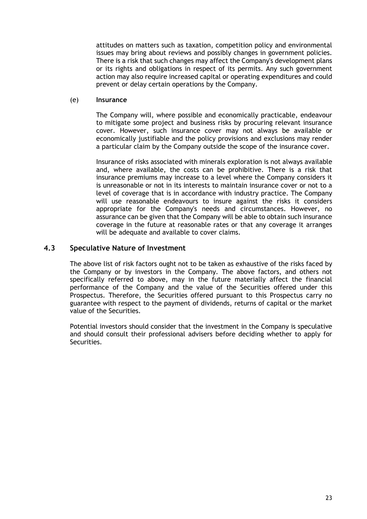attitudes on matters such as taxation, competition policy and environmental issues may bring about reviews and possibly changes in government policies. There is a risk that such changes may affect the Company's development plans or its rights and obligations in respect of its permits. Any such government action may also require increased capital or operating expenditures and could prevent or delay certain operations by the Company.

### (e) **Insurance**

The Company will, where possible and economically practicable, endeavour to mitigate some project and business risks by procuring relevant insurance cover. However, such insurance cover may not always be available or economically justifiable and the policy provisions and exclusions may render a particular claim by the Company outside the scope of the insurance cover.

Insurance of risks associated with minerals exploration is not always available and, where available, the costs can be prohibitive. There is a risk that insurance premiums may increase to a level where the Company considers it is unreasonable or not in its interests to maintain insurance cover or not to a level of coverage that is in accordance with industry practice. The Company will use reasonable endeavours to insure against the risks it considers appropriate for the Company's needs and circumstances. However, no assurance can be given that the Company will be able to obtain such insurance coverage in the future at reasonable rates or that any coverage it arranges will be adequate and available to cover claims.

# **4.3 Speculative Nature of Investment**

The above list of risk factors ought not to be taken as exhaustive of the risks faced by the Company or by investors in the Company. The above factors, and others not specifically referred to above, may in the future materially affect the financial performance of the Company and the value of the Securities offered under this Prospectus. Therefore, the Securities offered pursuant to this Prospectus carry no guarantee with respect to the payment of dividends, returns of capital or the market value of the Securities.

Potential investors should consider that the investment in the Company is speculative and should consult their professional advisers before deciding whether to apply for Securities.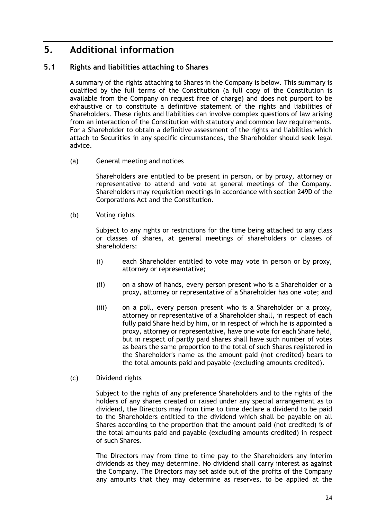# **5. Additional information**

# **5.1 Rights and liabilities attaching to Shares**

A summary of the rights attaching to Shares in the Company is below. This summary is qualified by the full terms of the Constitution (a full copy of the Constitution is available from the Company on request free of charge) and does not purport to be exhaustive or to constitute a definitive statement of the rights and liabilities of Shareholders. These rights and liabilities can involve complex questions of law arising from an interaction of the Constitution with statutory and common law requirements. For a Shareholder to obtain a definitive assessment of the rights and liabilities which attach to Securities in any specific circumstances, the Shareholder should seek legal advice.

(a) General meeting and notices

Shareholders are entitled to be present in person, or by proxy, attorney or representative to attend and vote at general meetings of the Company. Shareholders may requisition meetings in accordance with section 249D of the Corporations Act and the Constitution.

(b) Voting rights

Subject to any rights or restrictions for the time being attached to any class or classes of shares, at general meetings of shareholders or classes of shareholders:

- (i) each Shareholder entitled to vote may vote in person or by proxy, attorney or representative;
- (ii) on a show of hands, every person present who is a Shareholder or a proxy, attorney or representative of a Shareholder has one vote; and
- (iii) on a poll, every person present who is a Shareholder or a proxy, attorney or representative of a Shareholder shall, in respect of each fully paid Share held by him, or in respect of which he is appointed a proxy, attorney or representative, have one vote for each Share held, but in respect of partly paid shares shall have such number of votes as bears the same proportion to the total of such Shares registered in the Shareholder's name as the amount paid (not credited) bears to the total amounts paid and payable (excluding amounts credited).
- (c) Dividend rights

Subject to the rights of any preference Shareholders and to the rights of the holders of any shares created or raised under any special arrangement as to dividend, the Directors may from time to time declare a dividend to be paid to the Shareholders entitled to the dividend which shall be payable on all Shares according to the proportion that the amount paid (not credited) is of the total amounts paid and payable (excluding amounts credited) in respect of such Shares.

The Directors may from time to time pay to the Shareholders any interim dividends as they may determine. No dividend shall carry interest as against the Company. The Directors may set aside out of the profits of the Company any amounts that they may determine as reserves, to be applied at the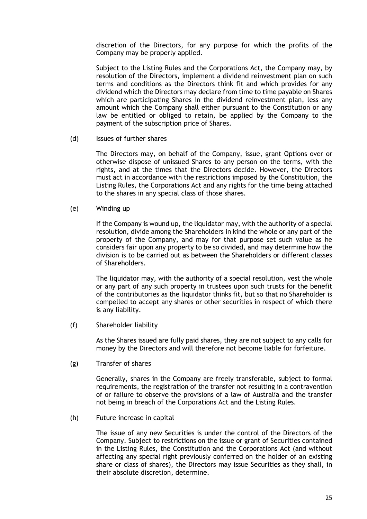discretion of the Directors, for any purpose for which the profits of the Company may be properly applied.

Subject to the Listing Rules and the Corporations Act, the Company may, by resolution of the Directors, implement a dividend reinvestment plan on such terms and conditions as the Directors think fit and which provides for any dividend which the Directors may declare from time to time payable on Shares which are participating Shares in the dividend reinvestment plan, less any amount which the Company shall either pursuant to the Constitution or any law be entitled or obliged to retain, be applied by the Company to the payment of the subscription price of Shares.

(d) Issues of further shares

The Directors may, on behalf of the Company, issue, grant Options over or otherwise dispose of unissued Shares to any person on the terms, with the rights, and at the times that the Directors decide. However, the Directors must act in accordance with the restrictions imposed by the Constitution, the Listing Rules, the Corporations Act and any rights for the time being attached to the shares in any special class of those shares.

(e) Winding up

If the Company is wound up, the liquidator may, with the authority of a special resolution, divide among the Shareholders in kind the whole or any part of the property of the Company, and may for that purpose set such value as he considers fair upon any property to be so divided, and may determine how the division is to be carried out as between the Shareholders or different classes of Shareholders.

The liquidator may, with the authority of a special resolution, vest the whole or any part of any such property in trustees upon such trusts for the benefit of the contributories as the liquidator thinks fit, but so that no Shareholder is compelled to accept any shares or other securities in respect of which there is any liability.

(f) Shareholder liability

As the Shares issued are fully paid shares, they are not subject to any calls for money by the Directors and will therefore not become liable for forfeiture.

(g) Transfer of shares

Generally, shares in the Company are freely transferable, subject to formal requirements, the registration of the transfer not resulting in a contravention of or failure to observe the provisions of a law of Australia and the transfer not being in breach of the Corporations Act and the Listing Rules.

(h) Future increase in capital

The issue of any new Securities is under the control of the Directors of the Company. Subject to restrictions on the issue or grant of Securities contained in the Listing Rules, the Constitution and the Corporations Act (and without affecting any special right previously conferred on the holder of an existing share or class of shares), the Directors may issue Securities as they shall, in their absolute discretion, determine.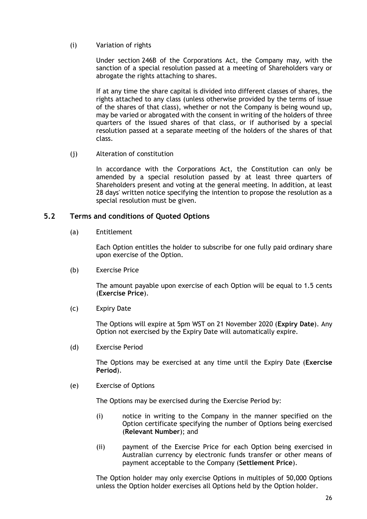(i) Variation of rights

Under section 246B of the Corporations Act, the Company may, with the sanction of a special resolution passed at a meeting of Shareholders vary or abrogate the rights attaching to shares.

If at any time the share capital is divided into different classes of shares, the rights attached to any class (unless otherwise provided by the terms of issue of the shares of that class), whether or not the Company is being wound up, may be varied or abrogated with the consent in writing of the holders of three quarters of the issued shares of that class, or if authorised by a special resolution passed at a separate meeting of the holders of the shares of that class.

(j) Alteration of constitution

In accordance with the Corporations Act, the Constitution can only be amended by a special resolution passed by at least three quarters of Shareholders present and voting at the general meeting. In addition, at least 28 days' written notice specifying the intention to propose the resolution as a special resolution must be given.

## **5.2 Terms and conditions of Quoted Options**

(a) Entitlement

Each Option entitles the holder to subscribe for one fully paid ordinary share upon exercise of the Option.

(b) Exercise Price

The amount payable upon exercise of each Option will be equal to 1.5 cents (**Exercise Price**).

(c) Expiry Date

The Options will expire at 5pm WST on 21 November 2020 (**Expiry Date**). Any Option not exercised by the Expiry Date will automatically expire.

(d) Exercise Period

The Options may be exercised at any time until the Expiry Date (**Exercise Period**).

(e) Exercise of Options

The Options may be exercised during the Exercise Period by:

- (i) notice in writing to the Company in the manner specified on the Option certificate specifying the number of Options being exercised (**Relevant Number**); and
- (ii) payment of the Exercise Price for each Option being exercised in Australian currency by electronic funds transfer or other means of payment acceptable to the Company (**Settlement Price**).

The Option holder may only exercise Options in multiples of 50,000 Options unless the Option holder exercises all Options held by the Option holder.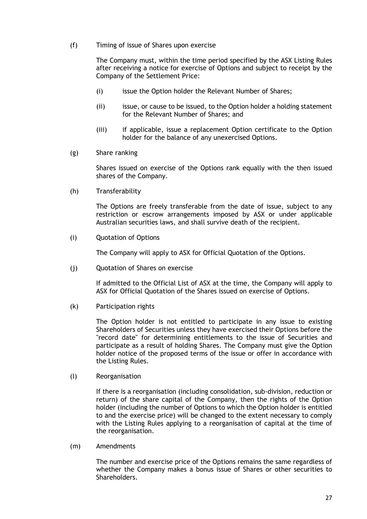(f) Timing of issue of Shares upon exercise

The Company must, within the time period specified by the ASX Listing Rules after receiving a notice for exercise of Options and subject to receipt by the Company of the Settlement Price:

- (i) issue the Option holder the Relevant Number of Shares;
- (ii) issue, or cause to be issued, to the Option holder a holding statement for the Relevant Number of Shares; and
- (iii) if applicable, issue a replacement Option certificate to the Option holder for the balance of any unexercised Options.
- (g) Share ranking

Shares issued on exercise of the Options rank equally with the then issued shares of the Company.

(h) Transferability

The Options are freely transferable from the date of issue, subject to any restriction or escrow arrangements imposed by ASX or under applicable Australian securities laws, and shall survive death of the recipient.

(i) Quotation of Options

The Company will apply to ASX for Official Quotation of the Options.

(j) Quotation of Shares on exercise

If admitted to the Official List of ASX at the time, the Company will apply to ASX for Official Quotation of the Shares issued on exercise of Options.

(k) Participation rights

The Option holder is not entitled to participate in any issue to existing Shareholders of Securities unless they have exercised their Options before the "record date" for determining entitlements to the issue of Securities and participate as a result of holding Shares. The Company must give the Option holder notice of the proposed terms of the issue or offer in accordance with the Listing Rules.

(l) Reorganisation

If there is a reorganisation (including consolidation, sub-division, reduction or return) of the share capital of the Company, then the rights of the Option holder (including the number of Options to which the Option holder is entitled to and the exercise price) will be changed to the extent necessary to comply with the Listing Rules applying to a reorganisation of capital at the time of the reorganisation.

(m) Amendments

The number and exercise price of the Options remains the same regardless of whether the Company makes a bonus issue of Shares or other securities to Shareholders.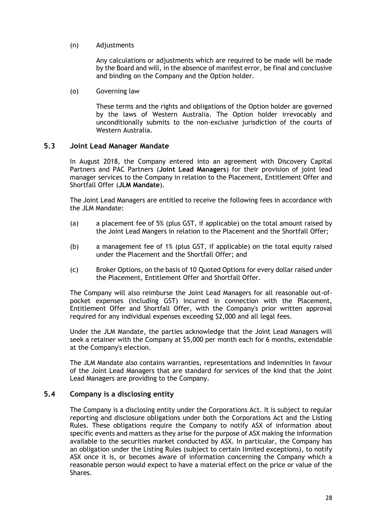(n) Adjustments

Any calculations or adjustments which are required to be made will be made by the Board and will, in the absence of manifest error, be final and conclusive and binding on the Company and the Option holder.

(o) Governing law

These terms and the rights and obligations of the Option holder are governed by the laws of Western Australia. The Option holder irrevocably and unconditionally submits to the non-exclusive jurisdiction of the courts of Western Australia.

# **5.3 Joint Lead Manager Mandate**

In August 2018, the Company entered into an agreement with Discovery Capital Partners and PAC Partners (**Joint Lead Managers**) for their provision of joint lead manager services to the Company in relation to the Placement, Entitlement Offer and Shortfall Offer (**JLM Mandate**).

The Joint Lead Managers are entitled to receive the following fees in accordance with the JLM Mandate:

- (a) a placement fee of 5% (plus GST, if applicable) on the total amount raised by the Joint Lead Mangers in relation to the Placement and the Shortfall Offer;
- (b) a management fee of 1% (plus GST, if applicable) on the total equity raised under the Placement and the Shortfall Offer; and
- (c) Broker Options, on the basis of 10 Quoted Options for every dollar raised under the Placement, Entitlement Offer and Shortfall Offer.

The Company will also reimburse the Joint Lead Managers for all reasonable out-ofpocket expenses (including GST) incurred in connection with the Placement, Entitlement Offer and Shortfall Offer, with the Company's prior written approval required for any individual expenses exceeding \$2,000 and all legal fees.

Under the JLM Mandate, the parties acknowledge that the Joint Lead Managers will seek a retainer with the Company at \$5,000 per month each for 6 months, extendable at the Company's election.

The JLM Mandate also contains warranties, representations and indemnities in favour of the Joint Lead Managers that are standard for services of the kind that the Joint Lead Managers are providing to the Company.

# **5.4 Company is a disclosing entity**

The Company is a disclosing entity under the Corporations Act. It is subject to regular reporting and disclosure obligations under both the Corporations Act and the Listing Rules. These obligations require the Company to notify ASX of information about specific events and matters as they arise for the purpose of ASX making the information available to the securities market conducted by ASX. In particular, the Company has an obligation under the Listing Rules (subject to certain limited exceptions), to notify ASX once it is, or becomes aware of information concerning the Company which a reasonable person would expect to have a material effect on the price or value of the Shares.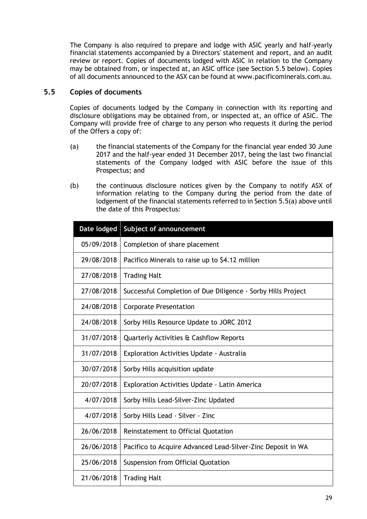The Company is also required to prepare and lodge with ASIC yearly and half-yearly financial statements accompanied by a Directors' statement and report, and an audit review or report. Copies of documents lodged with ASIC in relation to the Company may be obtained from, or inspected at, an ASIC office (see Section 5.5 below). Copies of all documents announced to the ASX can be found at www.pacificominerals.com.au.

# **5.5 Copies of documents**

Copies of documents lodged by the Company in connection with its reporting and disclosure obligations may be obtained from, or inspected at, an office of ASIC. The Company will provide free of charge to any person who requests it during the period of the Offers a copy of:

- (a) the financial statements of the Company for the financial year ended 30 June 2017 and the half-year ended 31 December 2017, being the last two financial statements of the Company lodged with ASIC before the issue of this Prospectus; and
- (b) the continuous disclosure notices given by the Company to notify ASX of information relating to the Company during the period from the date of lodgement of the financial statements referred to in Section 5.5(a) above until the date of this Prospectus:

| Date lodged | Subject of announcement                                      |  |  |  |
|-------------|--------------------------------------------------------------|--|--|--|
| 05/09/2018  | Completion of share placement                                |  |  |  |
| 29/08/2018  | Pacifico Minerals to raise up to \$4.12 million              |  |  |  |
| 27/08/2018  | <b>Trading Halt</b>                                          |  |  |  |
| 27/08/2018  | Successful Completion of Due Diligence - Sorby Hills Project |  |  |  |
| 24/08/2018  | <b>Corporate Presentation</b>                                |  |  |  |
| 24/08/2018  | Sorby Hills Resource Update to JORC 2012                     |  |  |  |
| 31/07/2018  | Quarterly Activities & Cashflow Reports                      |  |  |  |
| 31/07/2018  | Exploration Activities Update - Australia                    |  |  |  |
| 30/07/2018  | Sorby Hills acquisition update                               |  |  |  |
| 20/07/2018  | <b>Exploration Activities Update - Latin America</b>         |  |  |  |
| 4/07/2018   | Sorby Hills Lead-Silver-Zinc Updated                         |  |  |  |
| 4/07/2018   | Sorby Hills Lead - Silver - Zinc                             |  |  |  |
| 26/06/2018  | Reinstatement to Official Quotation                          |  |  |  |
| 26/06/2018  | Pacifico to Acquire Advanced Lead-Silver-Zinc Deposit in WA  |  |  |  |
| 25/06/2018  | Suspension from Official Quotation                           |  |  |  |
| 21/06/2018  | <b>Trading Halt</b>                                          |  |  |  |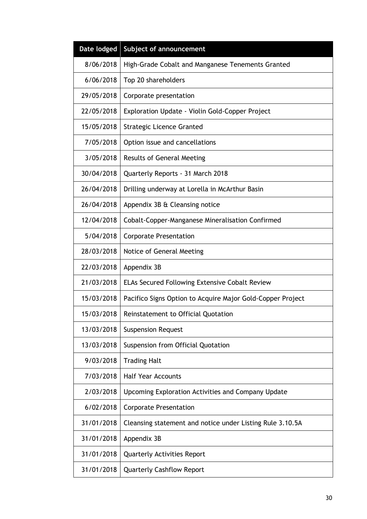| Date lodged | Subject of announcement                                    |
|-------------|------------------------------------------------------------|
| 8/06/2018   | High-Grade Cobalt and Manganese Tenements Granted          |
| 6/06/2018   | Top 20 shareholders                                        |
| 29/05/2018  | Corporate presentation                                     |
| 22/05/2018  | Exploration Update - Violin Gold-Copper Project            |
| 15/05/2018  | <b>Strategic Licence Granted</b>                           |
| 7/05/2018   | Option issue and cancellations                             |
| 3/05/2018   | <b>Results of General Meeting</b>                          |
| 30/04/2018  | Quarterly Reports - 31 March 2018                          |
| 26/04/2018  | Drilling underway at Lorella in McArthur Basin             |
| 26/04/2018  | Appendix 3B & Cleansing notice                             |
| 12/04/2018  | Cobalt-Copper-Manganese Mineralisation Confirmed           |
| 5/04/2018   | <b>Corporate Presentation</b>                              |
| 28/03/2018  | Notice of General Meeting                                  |
| 22/03/2018  | Appendix 3B                                                |
| 21/03/2018  | ELAs Secured Following Extensive Cobalt Review             |
| 15/03/2018  | Pacifico Signs Option to Acquire Major Gold-Copper Project |
| 15/03/2018  | Reinstatement to Official Quotation                        |
| 13/03/2018  | <b>Suspension Request</b>                                  |
| 13/03/2018  | Suspension from Official Quotation                         |
| 9/03/2018   | <b>Trading Halt</b>                                        |
| 7/03/2018   | <b>Half Year Accounts</b>                                  |
| 2/03/2018   | Upcoming Exploration Activities and Company Update         |
| 6/02/2018   | <b>Corporate Presentation</b>                              |
| 31/01/2018  | Cleansing statement and notice under Listing Rule 3.10.5A  |
| 31/01/2018  | Appendix 3B                                                |
| 31/01/2018  | <b>Quarterly Activities Report</b>                         |
| 31/01/2018  | <b>Quarterly Cashflow Report</b>                           |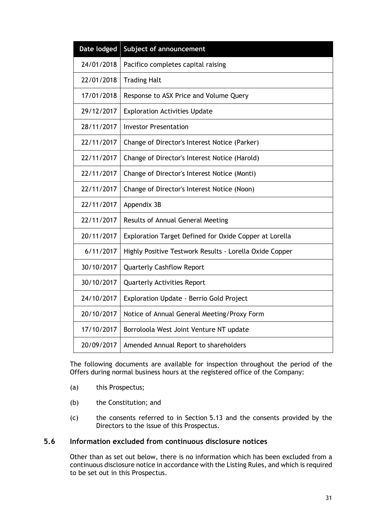| Date lodged | Subject of announcement                                 |
|-------------|---------------------------------------------------------|
| 24/01/2018  | Pacifico completes capital raising                      |
| 22/01/2018  | <b>Trading Halt</b>                                     |
| 17/01/2018  | Response to ASX Price and Volume Query                  |
| 29/12/2017  | <b>Exploration Activities Update</b>                    |
| 28/11/2017  | <b>Investor Presentation</b>                            |
| 22/11/2017  | Change of Director's Interest Notice (Parker)           |
| 22/11/2017  | Change of Director's Interest Notice (Harold)           |
| 22/11/2017  | Change of Director's Interest Notice (Monti)            |
| 22/11/2017  | Change of Director's Interest Notice (Noon)             |
| 22/11/2017  | Appendix 3B                                             |
| 22/11/2017  | Results of Annual General Meeting                       |
| 20/11/2017  | Exploration Target Defined for Oxide Copper at Lorella  |
| 6/11/2017   | Highly Positive Testwork Results - Lorella Oxide Copper |
| 30/10/2017  | <b>Quarterly Cashflow Report</b>                        |
|             |                                                         |
| 30/10/2017  | <b>Quarterly Activities Report</b>                      |
| 24/10/2017  | Exploration Update - Berrio Gold Project                |
| 20/10/2017  | Notice of Annual General Meeting/Proxy Form             |
| 17/10/2017  | Borroloola West Joint Venture NT update                 |

The following documents are available for inspection throughout the period of the Offers during normal business hours at the registered office of the Company:

- (a) this Prospectus;
- (b) the Constitution; and
- (c) the consents referred to in Section 5.13 and the consents provided by the Directors to the issue of this Prospectus.

### **5.6 Information excluded from continuous disclosure notices**

Other than as set out below, there is no information which has been excluded from a continuous disclosure notice in accordance with the Listing Rules, and which is required to be set out in this Prospectus.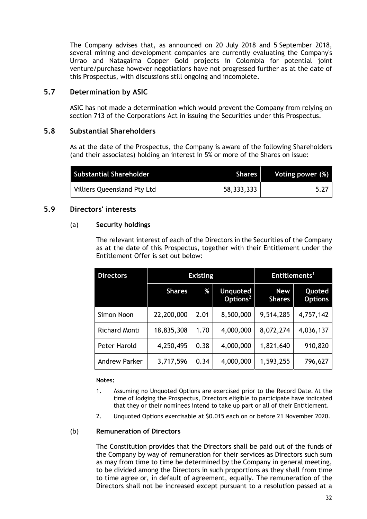The Company advises that, as announced on 20 July 2018 and 5 September 2018, several mining and development companies are currently evaluating the Company's Urrao and Natagaima Copper Gold projects in Colombia for potential joint venture/purchase however negotiations have not progressed further as at the date of this Prospectus, with discussions still ongoing and incomplete.

# **5.7 Determination by ASIC**

ASIC has not made a determination which would prevent the Company from relying on section 713 of the Corporations Act in issuing the Securities under this Prospectus.

## **5.8 Substantial Shareholders**

As at the date of the Prospectus, the Company is aware of the following Shareholders (and their associates) holding an interest in 5% or more of the Shares on issue:

| <b>Substantial Shareholder</b> | <b>Shares</b> I | Voting power (%) |
|--------------------------------|-----------------|------------------|
| Villiers Queensland Pty Ltd    | 58, 333, 333    | 5.27             |

# **5.9 Directors' interests**

## (a) **Security holdings**

The relevant interest of each of the Directors in the Securities of the Company as at the date of this Prospectus, together with their Entitlement under the Entitlement Offer is set out below:

| <b>Directors</b>     | <b>Existing</b> |      |                                         |                             | Entitlements <sup>1</sup> |  |
|----------------------|-----------------|------|-----------------------------------------|-----------------------------|---------------------------|--|
|                      | <b>Shares</b>   | %    | <b>Unquoted</b><br>Options <sup>2</sup> | <b>New</b><br><b>Shares</b> | Quoted<br><b>Options</b>  |  |
| Simon Noon           | 22,200,000      | 2.01 | 8,500,000                               | 9,514,285                   | 4,757,142                 |  |
| <b>Richard Monti</b> | 18,835,308      | 1.70 | 4,000,000                               | 8,072,274                   | 4,036,137                 |  |
| Peter Harold         | 4,250,495       | 0.38 | 4,000,000                               | 1,821,640                   | 910,820                   |  |
| Andrew Parker        | 3,717,596       | 0.34 | 4,000,000                               | 1,593,255                   | 796,627                   |  |

## **Notes:**

- 1. Assuming no Unquoted Options are exercised prior to the Record Date. At the time of lodging the Prospectus, Directors eligible to participate have indicated that they or their nominees intend to take up part or all of their Entitlement.
- 2. Unquoted Options exercisable at \$0.015 each on or before 21 November 2020.

## (b) **Remuneration of Directors**

The Constitution provides that the Directors shall be paid out of the funds of the Company by way of remuneration for their services as Directors such sum as may from time to time be determined by the Company in general meeting, to be divided among the Directors in such proportions as they shall from time to time agree or, in default of agreement, equally. The remuneration of the Directors shall not be increased except pursuant to a resolution passed at a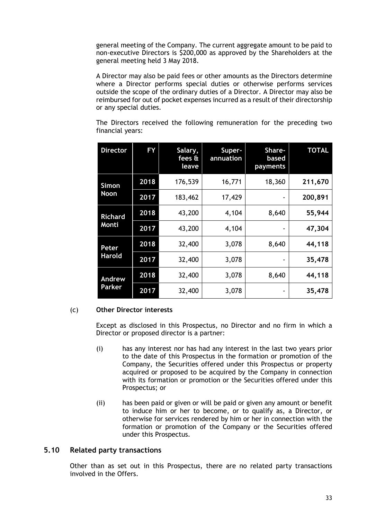general meeting of the Company. The current aggregate amount to be paid to non-executive Directors is \$200,000 as approved by the Shareholders at the general meeting held 3 May 2018.

A Director may also be paid fees or other amounts as the Directors determine where a Director performs special duties or otherwise performs services outside the scope of the ordinary duties of a Director. A Director may also be reimbursed for out of pocket expenses incurred as a result of their directorship or any special duties.

The Directors received the following remuneration for the preceding two financial years:

| <b>Director</b>             | FY   | Salary,<br>fees &<br>leave | Super-<br>annuation | Share-<br>based<br>payments | <b>TOTAL</b> |
|-----------------------------|------|----------------------------|---------------------|-----------------------------|--------------|
| <b>Simon</b><br><b>Noon</b> | 2018 | 176,539                    | 16,771              | 18,360                      | 211,670      |
|                             | 2017 | 183,462                    | 17,429              | ۰                           | 200,891      |
| <b>Richard</b><br>Monti     | 2018 | 43,200                     | 4,104               | 8,640                       | 55,944       |
|                             | 2017 | 43,200                     | 4,104               | ۰                           | 47,304       |
| Peter                       | 2018 | 32,400                     | 3,078               | 8,640                       | 44,118       |
| <b>Harold</b>               | 2017 | 32,400                     | 3,078               |                             | 35,478       |
| Andrew<br>Parker            | 2018 | 32,400                     | 3,078               | 8,640                       | 44,118       |
|                             | 2017 | 32,400                     | 3,078               | ۰                           | 35,478       |

## (c) **Other Director interests**

Except as disclosed in this Prospectus, no Director and no firm in which a Director or proposed director is a partner:

- (i) has any interest nor has had any interest in the last two years prior to the date of this Prospectus in the formation or promotion of the Company, the Securities offered under this Prospectus or property acquired or proposed to be acquired by the Company in connection with its formation or promotion or the Securities offered under this Prospectus; or
- (ii) has been paid or given or will be paid or given any amount or benefit to induce him or her to become, or to qualify as, a Director, or otherwise for services rendered by him or her in connection with the formation or promotion of the Company or the Securities offered under this Prospectus.

## **5.10 Related party transactions**

Other than as set out in this Prospectus, there are no related party transactions involved in the Offers.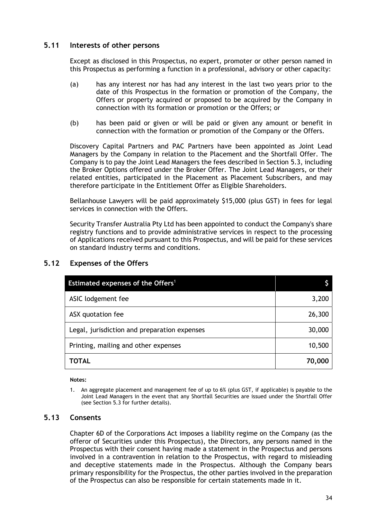# **5.11 Interests of other persons**

Except as disclosed in this Prospectus, no expert, promoter or other person named in this Prospectus as performing a function in a professional, advisory or other capacity:

- (a) has any interest nor has had any interest in the last two years prior to the date of this Prospectus in the formation or promotion of the Company, the Offers or property acquired or proposed to be acquired by the Company in connection with its formation or promotion or the Offers; or
- (b) has been paid or given or will be paid or given any amount or benefit in connection with the formation or promotion of the Company or the Offers.

Discovery Capital Partners and PAC Partners have been appointed as Joint Lead Managers by the Company in relation to the Placement and the Shortfall Offer. The Company is to pay the Joint Lead Managers the fees described in Section 5.3, including the Broker Options offered under the Broker Offer. The Joint Lead Managers, or their related entities, participated in the Placement as Placement Subscribers, and may therefore participate in the Entitlement Offer as Eligible Shareholders.

Bellanhouse Lawyers will be paid approximately \$15,000 (plus GST) in fees for legal services in connection with the Offers.

Security Transfer Australia Pty Ltd has been appointed to conduct the Company's share registry functions and to provide administrative services in respect to the processing of Applications received pursuant to this Prospectus, and will be paid for these services on standard industry terms and conditions.

| Estimated expenses of the Offers <sup>1</sup> |        |
|-----------------------------------------------|--------|
| ASIC lodgement fee                            | 3,200  |
| ASX quotation fee                             | 26,300 |
| Legal, jurisdiction and preparation expenses  | 30,000 |
| Printing, mailing and other expenses          | 10,500 |
| TOTAL                                         | 70,000 |

# **5.12 Expenses of the Offers**

#### **Notes:**

## **5.13 Consents**

Chapter 6D of the Corporations Act imposes a liability regime on the Company (as the offeror of Securities under this Prospectus), the Directors, any persons named in the Prospectus with their consent having made a statement in the Prospectus and persons involved in a contravention in relation to the Prospectus, with regard to misleading and deceptive statements made in the Prospectus. Although the Company bears primary responsibility for the Prospectus, the other parties involved in the preparation of the Prospectus can also be responsible for certain statements made in it.

<sup>1.</sup> An aggregate placement and management fee of up to 6% (plus GST, if applicable) is payable to the Joint Lead Managers in the event that any Shortfall Securities are issued under the Shortfall Offer (see Section 5.3 for further details).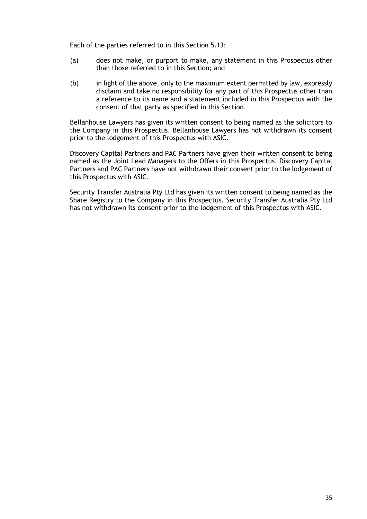Each of the parties referred to in this Section 5.13:

- (a) does not make, or purport to make, any statement in this Prospectus other than those referred to in this Section; and
- (b) in light of the above, only to the maximum extent permitted by law, expressly disclaim and take no responsibility for any part of this Prospectus other than a reference to its name and a statement included in this Prospectus with the consent of that party as specified in this Section.

Bellanhouse Lawyers has given its written consent to being named as the solicitors to the Company in this Prospectus. Bellanhouse Lawyers has not withdrawn its consent prior to the lodgement of this Prospectus with ASIC.

Discovery Capital Partners and PAC Partners have given their written consent to being named as the Joint Lead Managers to the Offers in this Prospectus. Discovery Capital Partners and PAC Partners have not withdrawn their consent prior to the lodgement of this Prospectus with ASIC.

Security Transfer Australia Pty Ltd has given its written consent to being named as the Share Registry to the Company in this Prospectus. Security Transfer Australia Pty Ltd has not withdrawn its consent prior to the lodgement of this Prospectus with ASIC.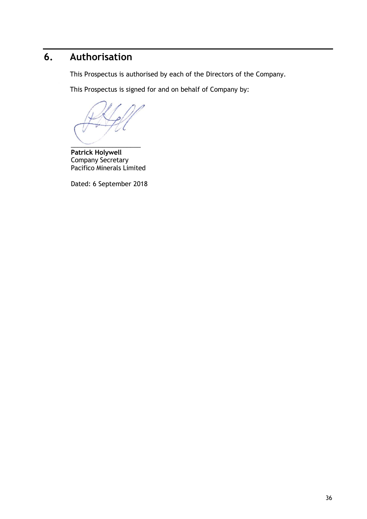# **6. Authorisation**

This Prospectus is authorised by each of the Directors of the Company.

This Prospectus is signed for and on behalf of Company by:

 $\overline{\phantom{a}}$ 

**Patrick Holywell**  Company Secretary Pacifico Minerals Limited

Dated: 6 September 2018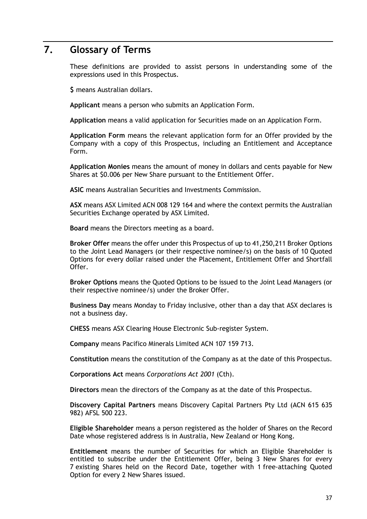# **7. Glossary of Terms**

These definitions are provided to assist persons in understanding some of the expressions used in this Prospectus.

**\$** means Australian dollars.

**Applicant** means a person who submits an Application Form.

**Application** means a valid application for Securities made on an Application Form.

**Application Form** means the relevant application form for an Offer provided by the Company with a copy of this Prospectus, including an Entitlement and Acceptance Form.

**Application Monies** means the amount of money in dollars and cents payable for New Shares at \$0.006 per New Share pursuant to the Entitlement Offer.

**ASIC** means Australian Securities and Investments Commission.

**ASX** means ASX Limited ACN 008 129 164 and where the context permits the Australian Securities Exchange operated by ASX Limited.

**Board** means the Directors meeting as a board.

**Broker Offer** means the offer under this Prospectus of up to 41,250,211 Broker Options to the Joint Lead Managers (or their respective nominee/s) on the basis of 10 Quoted Options for every dollar raised under the Placement, Entitlement Offer and Shortfall Offer.

**Broker Options** means the Quoted Options to be issued to the Joint Lead Managers (or their respective nominee/s) under the Broker Offer.

**Business Day** means Monday to Friday inclusive, other than a day that ASX declares is not a business day.

**CHESS** means ASX Clearing House Electronic Sub-register System.

**Company** means Pacifico Minerals Limited ACN 107 159 713.

**Constitution** means the constitution of the Company as at the date of this Prospectus.

**Corporations Act** means *Corporations Act 2001* (Cth).

**Directors** mean the directors of the Company as at the date of this Prospectus.

**Discovery Capital Partners** means Discovery Capital Partners Pty Ltd (ACN 615 635 982) AFSL 500 223.

**Eligible Shareholder** means a person registered as the holder of Shares on the Record Date whose registered address is in Australia, New Zealand or Hong Kong.

**Entitlement** means the number of Securities for which an Eligible Shareholder is entitled to subscribe under the Entitlement Offer, being 3 New Shares for every 7 existing Shares held on the Record Date, together with 1 free-attaching Quoted Option for every 2 New Shares issued.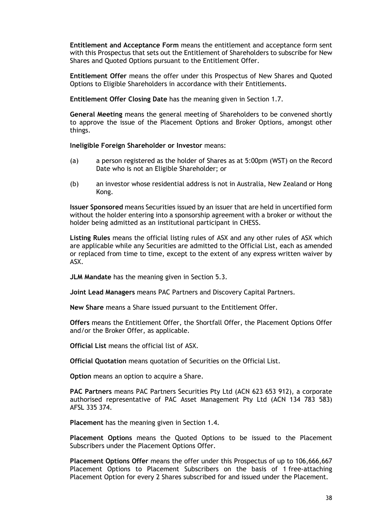**Entitlement and Acceptance Form** means the entitlement and acceptance form sent with this Prospectus that sets out the Entitlement of Shareholders to subscribe for New Shares and Quoted Options pursuant to the Entitlement Offer.

**Entitlement Offer** means the offer under this Prospectus of New Shares and Quoted Options to Eligible Shareholders in accordance with their Entitlements.

**Entitlement Offer Closing Date** has the meaning given in Section 1.7.

**General Meeting** means the general meeting of Shareholders to be convened shortly to approve the issue of the Placement Options and Broker Options, amongst other things.

**Ineligible Foreign Shareholder or Investor** means:

- (a) a person registered as the holder of Shares as at 5:00pm (WST) on the Record Date who is not an Eligible Shareholder; or
- (b) an investor whose residential address is not in Australia, New Zealand or Hong Kong.

**Issuer Sponsored** means Securities issued by an issuer that are held in uncertified form without the holder entering into a sponsorship agreement with a broker or without the holder being admitted as an institutional participant in CHESS.

**Listing Rules** means the official listing rules of ASX and any other rules of ASX which are applicable while any Securities are admitted to the Official List, each as amended or replaced from time to time, except to the extent of any express written waiver by ASX.

**JLM Mandate** has the meaning given in Section 5.3.

**Joint Lead Managers** means PAC Partners and Discovery Capital Partners.

**New Share** means a Share issued pursuant to the Entitlement Offer.

**Offers** means the Entitlement Offer, the Shortfall Offer, the Placement Options Offer and/or the Broker Offer, as applicable.

**Official List** means the official list of ASX.

**Official Quotation** means quotation of Securities on the Official List.

**Option** means an option to acquire a Share.

**PAC Partners** means PAC Partners Securities Pty Ltd (ACN 623 653 912), a corporate authorised representative of PAC Asset Management Pty Ltd (ACN 134 783 583) AFSL 335 374.

**Placement** has the meaning given in Section 1.4.

**Placement Options** means the Quoted Options to be issued to the Placement Subscribers under the Placement Options Offer.

**Placement Options Offer** means the offer under this Prospectus of up to 106,666,667 Placement Options to Placement Subscribers on the basis of 1 free-attaching Placement Option for every 2 Shares subscribed for and issued under the Placement.